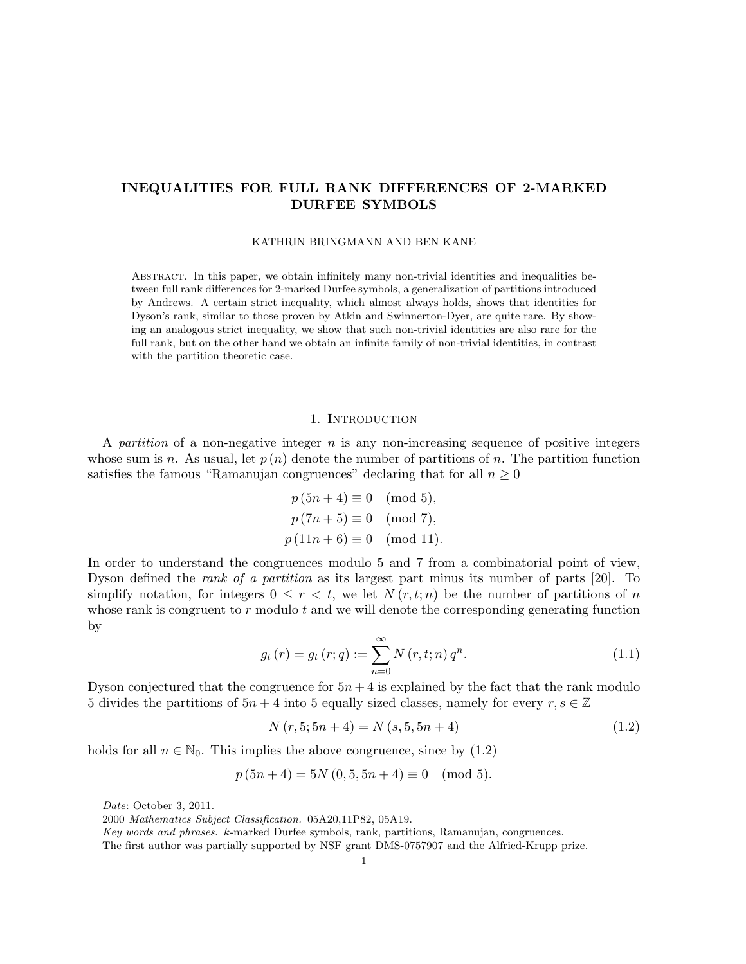# INEQUALITIES FOR FULL RANK DIFFERENCES OF 2-MARKED DURFEE SYMBOLS

KATHRIN BRINGMANN AND BEN KANE

Abstract. In this paper, we obtain infinitely many non-trivial identities and inequalities between full rank differences for 2-marked Durfee symbols, a generalization of partitions introduced by Andrews. A certain strict inequality, which almost always holds, shows that identities for Dyson's rank, similar to those proven by Atkin and Swinnerton-Dyer, are quite rare. By showing an analogous strict inequality, we show that such non-trivial identities are also rare for the full rank, but on the other hand we obtain an infinite family of non-trivial identities, in contrast with the partition theoretic case.

#### 1. INTRODUCTION

A partition of a non-negative integer  $n$  is any non-increasing sequence of positive integers whose sum is n. As usual, let  $p(n)$  denote the number of partitions of n. The partition function satisfies the famous "Ramanujan congruences" declaring that for all  $n \geq 0$ 

$$
p(5n + 4) \equiv 0 \pmod{5},
$$
  
\n $p(7n + 5) \equiv 0 \pmod{7},$   
\n $p(11n + 6) \equiv 0 \pmod{11}.$ 

In order to understand the congruences modulo 5 and 7 from a combinatorial point of view, Dyson defined the rank of a partition as its largest part minus its number of parts [20]. To simplify notation, for integers  $0 \leq r < t$ , we let  $N(r, t; n)$  be the number of partitions of n whose rank is congruent to  $r$  modulo  $t$  and we will denote the corresponding generating function by

$$
g_t(r) = g_t(r; q) := \sum_{n=0}^{\infty} N(r, t; n) q^n.
$$
 (1.1)

Dyson conjectured that the congruence for  $5n+4$  is explained by the fact that the rank modulo 5 divides the partitions of  $5n + 4$  into 5 equally sized classes, namely for every  $r, s \in \mathbb{Z}$ 

$$
N(r, 5; 5n + 4) = N(s, 5, 5n + 4)
$$
\n(1.2)

holds for all  $n \in \mathbb{N}_0$ . This implies the above congruence, since by (1.2)

$$
p(5n+4) = 5N(0, 5, 5n+4) \equiv 0 \pmod{5}.
$$

Date: October 3, 2011.

<sup>2000</sup> Mathematics Subject Classification. 05A20,11P82, 05A19.

Key words and phrases. k-marked Durfee symbols, rank, partitions, Ramanujan, congruences.

The first author was partially supported by NSF grant DMS-0757907 and the Alfried-Krupp prize.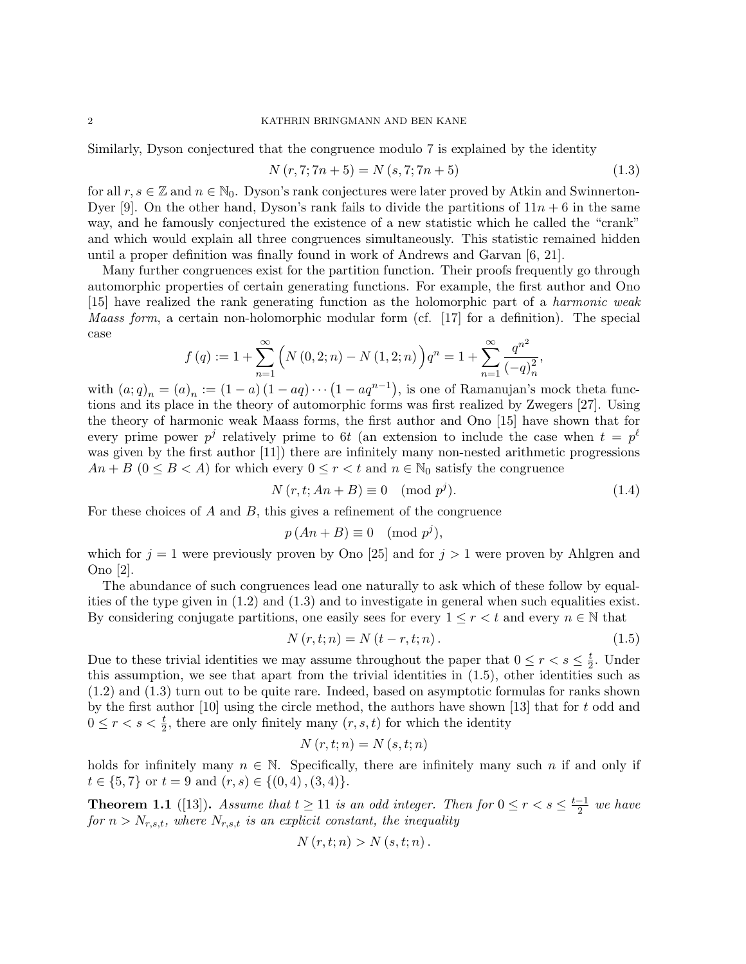#### 2 KATHRIN BRINGMANN AND BEN KANE

Similarly, Dyson conjectured that the congruence modulo 7 is explained by the identity

$$
N(r, 7; 7n + 5) = N(s, 7; 7n + 5)
$$
\n(1.3)

for all  $r, s \in \mathbb{Z}$  and  $n \in \mathbb{N}_0$ . Dyson's rank conjectures were later proved by Atkin and Swinnerton-Dyer [9]. On the other hand, Dyson's rank fails to divide the partitions of  $11n + 6$  in the same way, and he famously conjectured the existence of a new statistic which he called the "crank" and which would explain all three congruences simultaneously. This statistic remained hidden until a proper definition was finally found in work of Andrews and Garvan [6, 21].

Many further congruences exist for the partition function. Their proofs frequently go through automorphic properties of certain generating functions. For example, the first author and Ono [15] have realized the rank generating function as the holomorphic part of a harmonic weak Maass form, a certain non-holomorphic modular form (cf. [17] for a definition). The special case

$$
f(q) := 1 + \sum_{n=1}^{\infty} \left( N(0,2;n) - N(1,2;n) \right) q^n = 1 + \sum_{n=1}^{\infty} \frac{q^{n^2}}{(-q)_n^2},
$$

with  $(a;q)_n = (a)_n := (1-a)(1-aq) \cdots (1-aq^{n-1})$ , is one of Ramanujan's mock theta functions and its place in the theory of automorphic forms was first realized by Zwegers [27]. Using the theory of harmonic weak Maass forms, the first author and Ono [15] have shown that for every prime power  $p^j$  relatively prime to 6t (an extension to include the case when  $t = p^{\ell}$ was given by the first author [11]) there are infinitely many non-nested arithmetic progressions  $An + B$  ( $0 \leq B < A$ ) for which every  $0 \leq r < t$  and  $n \in \mathbb{N}_0$  satisfy the congruence

$$
N(r, t; An + B) \equiv 0 \pmod{p^j}.
$$
\n(1.4)

For these choices of  $A$  and  $B$ , this gives a refinement of the congruence

$$
p(An + B) \equiv 0 \pmod{p^j},
$$

which for  $j = 1$  were previously proven by Ono [25] and for  $j > 1$  were proven by Ahlgren and Ono [2].

The abundance of such congruences lead one naturally to ask which of these follow by equalities of the type given in (1.2) and (1.3) and to investigate in general when such equalities exist. By considering conjugate partitions, one easily sees for every  $1 \leq r < t$  and every  $n \in \mathbb{N}$  that

$$
N(r, t; n) = N(t - r, t; n).
$$
\n(1.5)

Due to these trivial identities we may assume throughout the paper that  $0 \le r < s \le \frac{t}{2}$  $\frac{t}{2}$ . Under this assumption, we see that apart from the trivial identities in (1.5), other identities such as (1.2) and (1.3) turn out to be quite rare. Indeed, based on asymptotic formulas for ranks shown by the first author  $[10]$  using the circle method, the authors have shown  $[13]$  that for t odd and  $0 \leq r < s < \frac{t}{2}$ , there are only finitely many  $(r, s, t)$  for which the identity

$$
N(r, t; n) = N(s, t; n)
$$

holds for infinitely many  $n \in \mathbb{N}$ . Specifically, there are infinitely many such n if and only if  $t \in \{5, 7\}$  or  $t = 9$  and  $(r, s) \in \{(0, 4), (3, 4)\}.$ 

**Theorem 1.1** ([13]). Assume that  $t \ge 11$  is an odd integer. Then for  $0 \le r < s \le \frac{t-1}{2}$  $\frac{-1}{2}$  we have for  $n > N_{r,s,t}$ , where  $N_{r,s,t}$  is an explicit constant, the inequality

$$
N(r,t;n) > N(s,t;n).
$$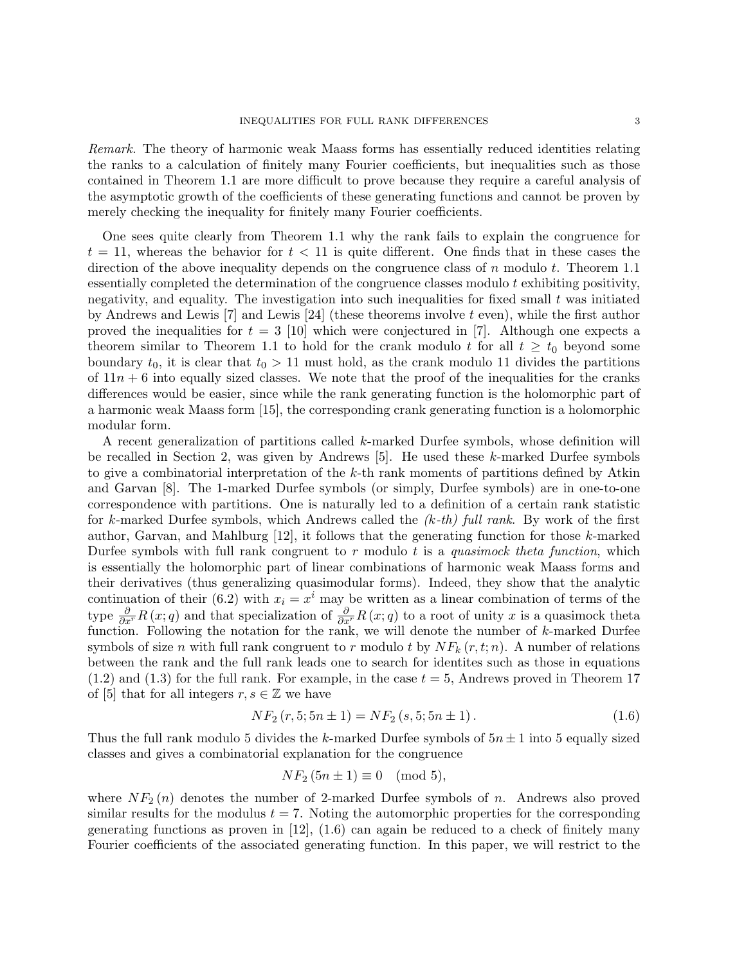Remark. The theory of harmonic weak Maass forms has essentially reduced identities relating the ranks to a calculation of finitely many Fourier coefficients, but inequalities such as those contained in Theorem 1.1 are more difficult to prove because they require a careful analysis of the asymptotic growth of the coefficients of these generating functions and cannot be proven by merely checking the inequality for finitely many Fourier coefficients.

One sees quite clearly from Theorem 1.1 why the rank fails to explain the congruence for  $t = 11$ , whereas the behavior for  $t < 11$  is quite different. One finds that in these cases the direction of the above inequality depends on the congruence class of  $n$  modulo  $t$ . Theorem 1.1 essentially completed the determination of the congruence classes modulo  $t$  exhibiting positivity, negativity, and equality. The investigation into such inequalities for fixed small  $t$  was initiated by Andrews and Lewis  $[7]$  and Lewis  $[24]$  (these theorems involve t even), while the first author proved the inequalities for  $t = 3$  [10] which were conjectured in [7]. Although one expects a theorem similar to Theorem 1.1 to hold for the crank modulo t for all  $t \geq t_0$  beyond some boundary  $t_0$ , it is clear that  $t_0 > 11$  must hold, as the crank modulo 11 divides the partitions of  $11n + 6$  into equally sized classes. We note that the proof of the inequalities for the cranks differences would be easier, since while the rank generating function is the holomorphic part of a harmonic weak Maass form [15], the corresponding crank generating function is a holomorphic modular form.

A recent generalization of partitions called k-marked Durfee symbols, whose definition will be recalled in Section 2, was given by Andrews  $[5]$ . He used these k-marked Durfee symbols to give a combinatorial interpretation of the k-th rank moments of partitions defined by Atkin and Garvan [8]. The 1-marked Durfee symbols (or simply, Durfee symbols) are in one-to-one correspondence with partitions. One is naturally led to a definition of a certain rank statistic for k-marked Durfee symbols, which Andrews called the  $(k-th)$  full rank. By work of the first author, Garvan, and Mahlburg [12], it follows that the generating function for those k-marked Durfee symbols with full rank congruent to r modulo t is a quasimock theta function, which is essentially the holomorphic part of linear combinations of harmonic weak Maass forms and their derivatives (thus generalizing quasimodular forms). Indeed, they show that the analytic continuation of their (6.2) with  $x_i = x^i$  may be written as a linear combination of terms of the type  $\frac{\partial}{\partial x'}R(x;q)$  and that specialization of  $\frac{\partial}{\partial x'}R(x;q)$  to a root of unity x is a quasimock theta function. Following the notation for the rank, we will denote the number of k-marked Durfee symbols of size n with full rank congruent to r modulo t by  $NF_k(r,t;n)$ . A number of relations between the rank and the full rank leads one to search for identites such as those in equations  $(1.2)$  and  $(1.3)$  for the full rank. For example, in the case  $t = 5$ , Andrews proved in Theorem 17 of [5] that for all integers  $r, s \in \mathbb{Z}$  we have

$$
NF_2(r, 5; 5n \pm 1) = NF_2(s, 5; 5n \pm 1).
$$
\n(1.6)

Thus the full rank modulo 5 divides the k-marked Durfee symbols of  $5n \pm 1$  into 5 equally sized classes and gives a combinatorial explanation for the congruence

$$
NF_2(5n \pm 1) \equiv 0 \pmod{5},
$$

where  $NF_2(n)$  denotes the number of 2-marked Durfee symbols of n. Andrews also proved similar results for the modulus  $t = 7$ . Noting the automorphic properties for the corresponding generating functions as proven in  $[12]$ ,  $(1.6)$  can again be reduced to a check of finitely many Fourier coefficients of the associated generating function. In this paper, we will restrict to the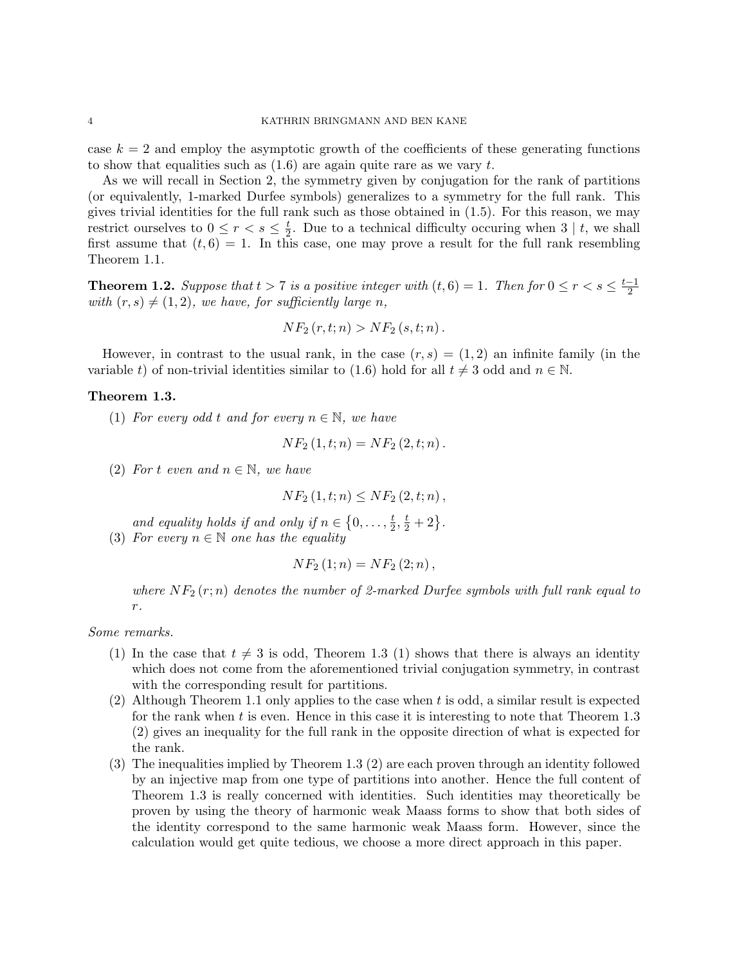case  $k = 2$  and employ the asymptotic growth of the coefficients of these generating functions to show that equalities such as  $(1.6)$  are again quite rare as we vary t.

As we will recall in Section 2, the symmetry given by conjugation for the rank of partitions (or equivalently, 1-marked Durfee symbols) generalizes to a symmetry for the full rank. This gives trivial identities for the full rank such as those obtained in (1.5). For this reason, we may restrict ourselves to  $0 \leq r < s \leq \frac{t}{2}$  $\frac{t}{2}$ . Due to a technical difficulty occuring when 3 | t, we shall first assume that  $(t, 6) = 1$ . In this case, one may prove a result for the full rank resembling Theorem 1.1.

**Theorem 1.2.** Suppose that  $t > 7$  is a positive integer with  $(t, 6) = 1$ . Then for  $0 \le r < s \le \frac{t-1}{2}$ 2 with  $(r, s) \neq (1, 2)$ , we have, for sufficiently large n,

$$
NF_2(r,t;n) > NF_2(s,t;n).
$$

However, in contrast to the usual rank, in the case  $(r, s) = (1, 2)$  an infinite family (in the variable t) of non-trivial identities similar to (1.6) hold for all  $t \neq 3$  odd and  $n \in \mathbb{N}$ .

## Theorem 1.3.

(1) For every odd t and for every  $n \in \mathbb{N}$ , we have

$$
NF_{2}(1,t;n) = NF_{2}(2,t;n).
$$

(2) For t even and  $n \in \mathbb{N}$ , we have

$$
NF_2(1, t; n) \leq NF_2(2, t; n)
$$
,

and equality holds if and only if  $n \in \{0, \ldots, \frac{t}{2}\}$  $\frac{t}{2}, \frac{t}{2} + 2$ . (3) For every  $n \in \mathbb{N}$  one has the equality

$$
NF_{2}(1;n) = NF_{2}(2;n),
$$

where  $NF_2 (r; n)$  denotes the number of 2-marked Durfee symbols with full rank equal to  $r$ .

Some remarks.

- (1) In the case that  $t \neq 3$  is odd, Theorem 1.3 (1) shows that there is always an identity which does not come from the aforementioned trivial conjugation symmetry, in contrast with the corresponding result for partitions.
- (2) Although Theorem 1.1 only applies to the case when t is odd, a similar result is expected for the rank when  $t$  is even. Hence in this case it is interesting to note that Theorem 1.3 (2) gives an inequality for the full rank in the opposite direction of what is expected for the rank.
- (3) The inequalities implied by Theorem 1.3 (2) are each proven through an identity followed by an injective map from one type of partitions into another. Hence the full content of Theorem 1.3 is really concerned with identities. Such identities may theoretically be proven by using the theory of harmonic weak Maass forms to show that both sides of the identity correspond to the same harmonic weak Maass form. However, since the calculation would get quite tedious, we choose a more direct approach in this paper.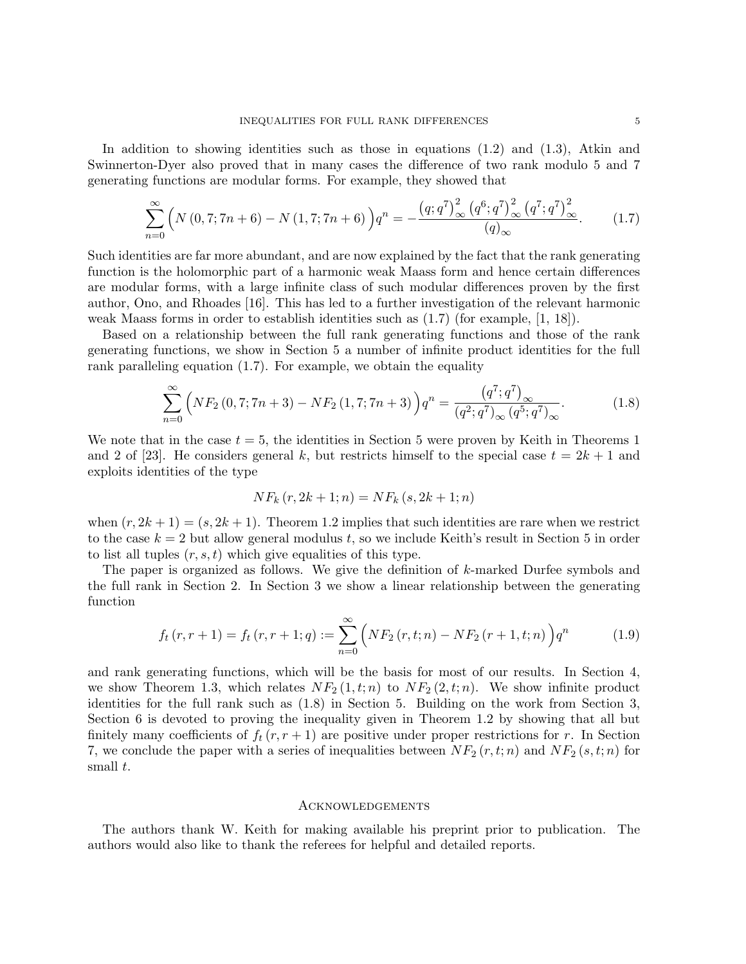In addition to showing identities such as those in equations (1.2) and (1.3), Atkin and Swinnerton-Dyer also proved that in many cases the difference of two rank modulo 5 and 7 generating functions are modular forms. For example, they showed that

$$
\sum_{n=0}^{\infty} \left( N(0, 7; 7n + 6) - N(1, 7; 7n + 6) \right) q^n = -\frac{\left( q; q^7 \right)^2_{\infty} \left( q^6; q^7 \right)^2_{\infty} \left( q^7; q^7 \right)^2_{\infty}}{(q)_{\infty}}.
$$
 (1.7)

Such identities are far more abundant, and are now explained by the fact that the rank generating function is the holomorphic part of a harmonic weak Maass form and hence certain differences are modular forms, with a large infinite class of such modular differences proven by the first author, Ono, and Rhoades [16]. This has led to a further investigation of the relevant harmonic weak Maass forms in order to establish identities such as (1.7) (for example, [1, 18]).

Based on a relationship between the full rank generating functions and those of the rank generating functions, we show in Section 5 a number of infinite product identities for the full rank paralleling equation (1.7). For example, we obtain the equality

$$
\sum_{n=0}^{\infty} \left( N F_2(0, 7; 7n + 3) - N F_2(1, 7; 7n + 3) \right) q^n = \frac{\left( q^7; q^7 \right)_{\infty}}{\left( q^2; q^7 \right)_{\infty} \left( q^5; q^7 \right)_{\infty}}.
$$
(1.8)

We note that in the case  $t = 5$ , the identities in Section 5 were proven by Keith in Theorems 1 and 2 of [23]. He considers general k, but restricts himself to the special case  $t = 2k + 1$  and exploits identities of the type

$$
NF_k(r, 2k+1; n) = NF_k(s, 2k+1; n)
$$

when  $(r, 2k + 1) = (s, 2k + 1)$ . Theorem 1.2 implies that such identities are rare when we restrict to the case  $k = 2$  but allow general modulus t, so we include Keith's result in Section 5 in order to list all tuples  $(r, s, t)$  which give equalities of this type.

The paper is organized as follows. We give the definition of k-marked Durfee symbols and the full rank in Section 2. In Section 3 we show a linear relationship between the generating function

$$
f_t(r, r+1) = f_t(r, r+1; q) := \sum_{n=0}^{\infty} \left( NF_2(r, t; n) - NF_2(r+1, t; n) \right) q^n \tag{1.9}
$$

and rank generating functions, which will be the basis for most of our results. In Section 4, we show Theorem 1.3, which relates  $NF_2(1, t; n)$  to  $NF_2(2, t; n)$ . We show infinite product identities for the full rank such as (1.8) in Section 5. Building on the work from Section 3, Section 6 is devoted to proving the inequality given in Theorem 1.2 by showing that all but finitely many coefficients of  $f_t(r, r+1)$  are positive under proper restrictions for r. In Section 7, we conclude the paper with a series of inequalities between  $NF_2 (r, t; n)$  and  $NF_2 (s, t; n)$  for small t.

#### **ACKNOWLEDGEMENTS**

The authors thank W. Keith for making available his preprint prior to publication. The authors would also like to thank the referees for helpful and detailed reports.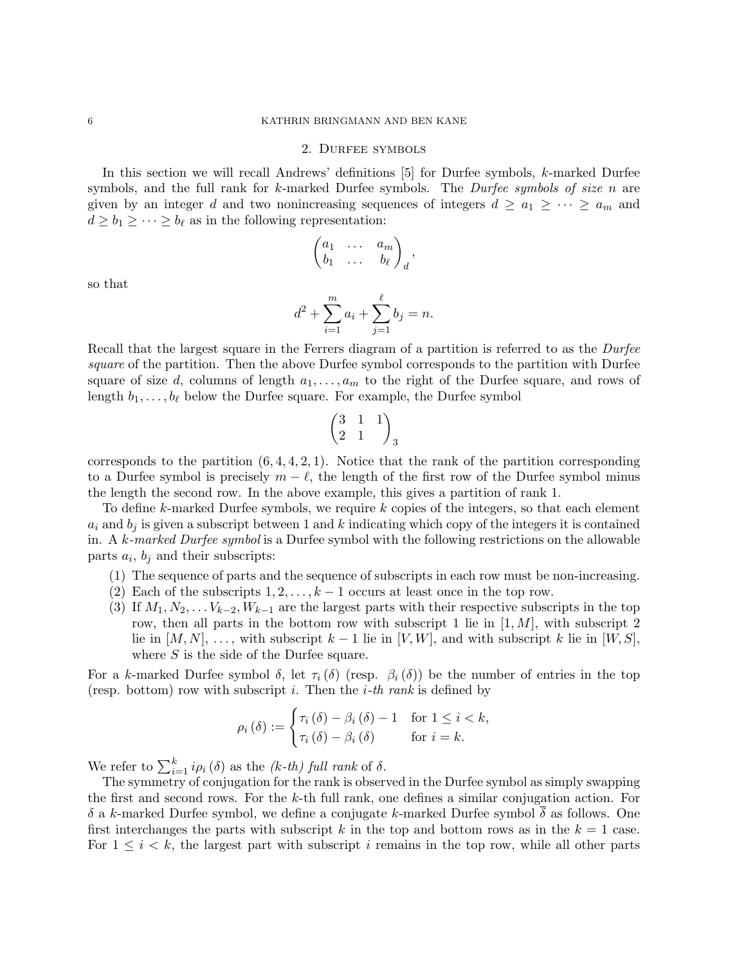## 2. Durfee symbols

In this section we will recall Andrews' definitions [5] for Durfee symbols, k-marked Durfee symbols, and the full rank for k-marked Durfee symbols. The *Durfee symbols of size n* are given by an integer d and two nonincreasing sequences of integers  $d \ge a_1 \ge \cdots \ge a_m$  and  $d \ge b_1 \ge \cdots \ge b_\ell$  as in the following representation:

$$
\begin{pmatrix} a_1 & \dots & a_m \\ b_1 & \dots & b_\ell \end{pmatrix}_d,
$$

so that

$$
d^{2} + \sum_{i=1}^{m} a_{i} + \sum_{j=1}^{\ell} b_{j} = n.
$$

Recall that the largest square in the Ferrers diagram of a partition is referred to as the *Durfee* square of the partition. Then the above Durfee symbol corresponds to the partition with Durfee square of size d, columns of length  $a_1, \ldots, a_m$  to the right of the Durfee square, and rows of length  $b_1, \ldots, b_\ell$  below the Durfee square. For example, the Durfee symbol

$$
\begin{pmatrix} 3 & 1 & 1 \\ 2 & 1 & \end{pmatrix}_3
$$

corresponds to the partition  $(6, 4, 4, 2, 1)$ . Notice that the rank of the partition corresponding to a Durfee symbol is precisely  $m - \ell$ , the length of the first row of the Durfee symbol minus the length the second row. In the above example, this gives a partition of rank 1.

To define k-marked Durfee symbols, we require k copies of the integers, so that each element  $a_i$  and  $b_j$  is given a subscript between 1 and k indicating which copy of the integers it is contained in. A k-marked Durfee symbol is a Durfee symbol with the following restrictions on the allowable parts  $a_i$ ,  $b_j$  and their subscripts:

- (1) The sequence of parts and the sequence of subscripts in each row must be non-increasing.
- (2) Each of the subscripts  $1, 2, \ldots, k-1$  occurs at least once in the top row.
- (3) If  $M_1, N_2, \ldots V_{k-2}, W_{k-1}$  are the largest parts with their respective subscripts in the top row, then all parts in the bottom row with subscript 1 lie in  $[1, M]$ , with subscript 2 lie in  $[M, N], \ldots$ , with subscript  $k-1$  lie in  $[V, W]$ , and with subscript k lie in  $[W, S]$ , where S is the side of the Durfee square.

For a k-marked Durfee symbol  $\delta$ , let  $\tau_i(\delta)$  (resp.  $\beta_i(\delta)$ ) be the number of entries in the top (resp. bottom) row with subscript i. Then the  $i$ -th rank is defined by

$$
\rho_i(\delta) := \begin{cases} \tau_i(\delta) - \beta_i(\delta) - 1 & \text{for } 1 \leq i < k, \\ \tau_i(\delta) - \beta_i(\delta) & \text{for } i = k. \end{cases}
$$

We refer to  $\sum_{i=1}^{k} i \rho_i(\delta)$  as the (k-th) full rank of  $\delta$ .

The symmetry of conjugation for the rank is observed in the Durfee symbol as simply swapping the first and second rows. For the  $k$ -th full rank, one defines a similar conjugation action. For δ a k-marked Durfee symbol, we define a conjugate k-marked Durfee symbol δ as follows. One first interchanges the parts with subscript k in the top and bottom rows as in the  $k = 1$  case. For  $1 \leq i \leq k$ , the largest part with subscript i remains in the top row, while all other parts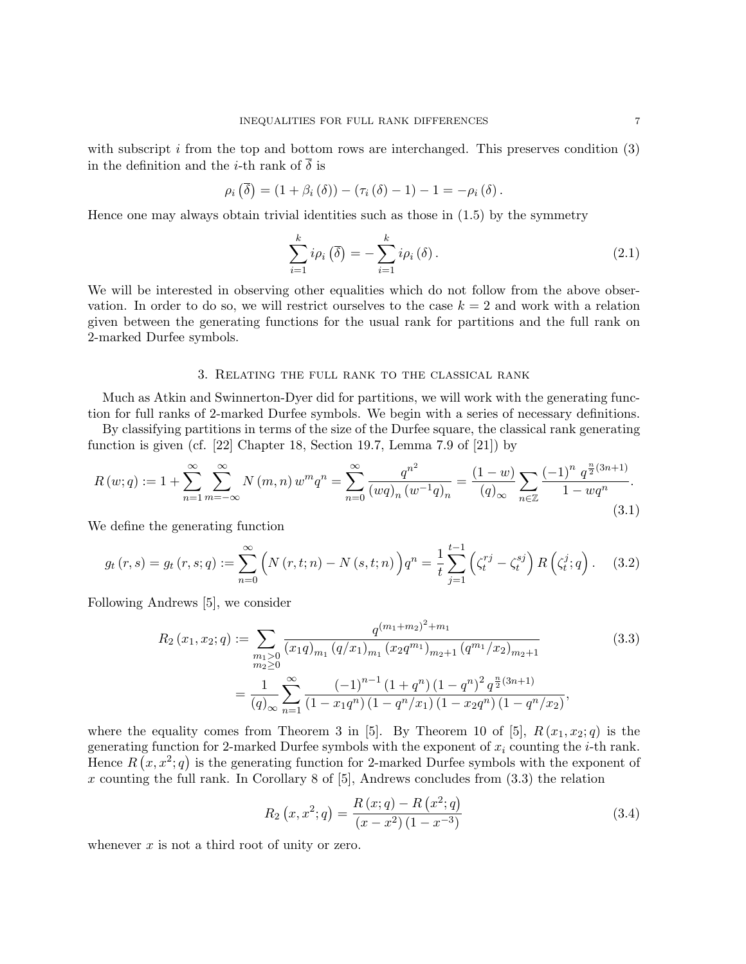with subscript  $i$  from the top and bottom rows are interchanged. This preserves condition  $(3)$ in the definition and the *i*-th rank of  $\overline{\delta}$  is

$$
\rho_i\left(\overline{\delta}\right) = \left(1 + \beta_i\left(\delta\right)\right) - \left(\tau_i\left(\delta\right) - 1\right) - 1 = -\rho_i\left(\delta\right).
$$

Hence one may always obtain trivial identities such as those in  $(1.5)$  by the symmetry

$$
\sum_{i=1}^{k} i\rho_i (\bar{\delta}) = -\sum_{i=1}^{k} i\rho_i (\delta).
$$
 (2.1)

We will be interested in observing other equalities which do not follow from the above observation. In order to do so, we will restrict ourselves to the case  $k = 2$  and work with a relation given between the generating functions for the usual rank for partitions and the full rank on 2-marked Durfee symbols.

#### 3. Relating the full rank to the classical rank

Much as Atkin and Swinnerton-Dyer did for partitions, we will work with the generating function for full ranks of 2-marked Durfee symbols. We begin with a series of necessary definitions.

By classifying partitions in terms of the size of the Durfee square, the classical rank generating function is given (cf. [22] Chapter 18, Section 19.7, Lemma 7.9 of [21]) by

$$
R(w;q) := 1 + \sum_{n=1}^{\infty} \sum_{m=-\infty}^{\infty} N(m,n) w^m q^n = \sum_{n=0}^{\infty} \frac{q^{n^2}}{(wq)_n (w^{-1}q)_n} = \frac{(1-w)}{(q)_{\infty}} \sum_{n \in \mathbb{Z}} \frac{(-1)^n q^{\frac{n}{2}(3n+1)}}{1 - wq^n}.
$$
\n(3.1)

We define the generating function

$$
g_t(r,s) = g_t(r,s;q) := \sum_{n=0}^{\infty} \left( N(r,t;n) - N(s,t;n) \right) q^n = \frac{1}{t} \sum_{j=1}^{t-1} \left( \zeta_t^{rj} - \zeta_t^{sj} \right) R\left(\zeta_t^j; q\right). \tag{3.2}
$$

Following Andrews [5], we consider

$$
R_{2}(x_{1}, x_{2}; q) := \sum_{\substack{m_{1} \geq 0 \\ m_{2} \geq 0}} \frac{q^{(m_{1}+m_{2})^{2}+m_{1}}}{(x_{1}q)_{m_{1}} (q/x_{1})_{m_{1}} (x_{2}q^{m_{1}})_{m_{2}+1} (q^{m_{1}}/x_{2})_{m_{2}+1}}
$$
(3.3)  

$$
= \frac{1}{(q)_{\infty}} \sum_{n=1}^{\infty} \frac{(-1)^{n-1} (1+q^{n}) (1-q^{n})^{2} q^{\frac{n}{2}(3n+1)}}{(1-x_{1}q^{n}) (1-q^{n}/x_{1}) (1-x_{2}q^{n}) (1-q^{n}/x_{2})},
$$

where the equality comes from Theorem 3 in [5]. By Theorem 10 of [5],  $R(x_1, x_2; q)$  is the generating function for 2-marked Durfee symbols with the exponent of  $x_i$  counting the *i*-th rank. Hence  $R(x, x^2; q)$  is the generating function for 2-marked Durfee symbols with the exponent of  $x$  counting the full rank. In Corollary 8 of [5], Andrews concludes from  $(3.3)$  the relation

$$
R_2(x, x^2; q) = \frac{R(x; q) - R(x^2; q)}{(x - x^2)(1 - x^{-3})}
$$
\n(3.4)

whenever  $x$  is not a third root of unity or zero.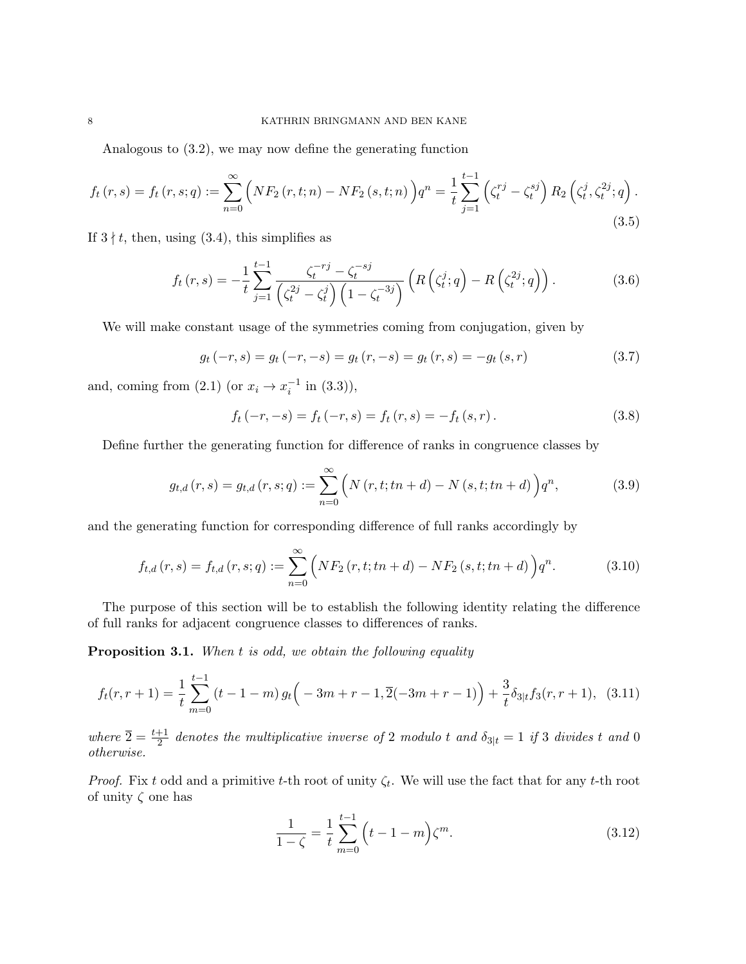Analogous to (3.2), we may now define the generating function

$$
f_t(r,s) = f_t(r,s;q) := \sum_{n=0}^{\infty} \left( NF_2(r,t;n) - NF_2(s,t;n) \right) q^n = \frac{1}{t} \sum_{j=1}^{t-1} \left( \zeta_t^{rj} - \zeta_t^{sj} \right) R_2 \left( \zeta_t^j, \zeta_t^{2j}; q \right).
$$
\n(3.5)

If  $3 \nmid t$ , then, using (3.4), this simplifies as

$$
f_t(r,s) = -\frac{1}{t} \sum_{j=1}^{t-1} \frac{\zeta_t^{-rj} - \zeta_t^{-sj}}{\left(\zeta_t^{2j} - \zeta_t^j\right)\left(1 - \zeta_t^{-3j}\right)} \left(R\left(\zeta_t^j; q\right) - R\left(\zeta_t^{2j}; q\right)\right). \tag{3.6}
$$

We will make constant usage of the symmetries coming from conjugation, given by

$$
g_t(-r,s) = g_t(-r,-s) = g_t(r,-s) = g_t(r,s) = -g_t(s,r)
$$
\n(3.7)

and, coming from  $(2.1)$  (or  $x_i \to x_i^{-1}$  in  $(3.3)$ ),

$$
f_t(-r, -s) = f_t(-r, s) = f_t(r, s) = -f_t(s, r).
$$
\n(3.8)

Define further the generating function for difference of ranks in congruence classes by

$$
g_{t,d}(r,s) = g_{t,d}(r,s;q) := \sum_{n=0}^{\infty} \left( N(r,t;tn+d) - N(s,t;tn+d) \right) q^n, \tag{3.9}
$$

and the generating function for corresponding difference of full ranks accordingly by

$$
f_{t,d}(r,s) = f_{t,d}(r,s;q) := \sum_{n=0}^{\infty} \left( NF_2(r,t;tn+d) - NF_2(s,t;tn+d) \right) q^n.
$$
 (3.10)

The purpose of this section will be to establish the following identity relating the difference of full ranks for adjacent congruence classes to differences of ranks.

Proposition 3.1. When t is odd, we obtain the following equality

$$
f_t(r, r+1) = \frac{1}{t} \sum_{m=0}^{t-1} (t - 1 - m) g_t \left( -3m + r - 1, \overline{2}(-3m + r - 1) \right) + \frac{3}{t} \delta_{3|t} f_3(r, r+1), \tag{3.11}
$$

where  $\overline{2} = \frac{t+1}{2}$  denotes the multiplicative inverse of 2 modulo t and  $\delta_{3|t} = 1$  if 3 divides t and 0 otherwise.

*Proof.* Fix t odd and a primitive t-th root of unity  $\zeta_t$ . We will use the fact that for any t-th root of unity  $\zeta$  one has

$$
\frac{1}{1-\zeta} = \frac{1}{t} \sum_{m=0}^{t-1} \left( t - 1 - m \right) \zeta^m.
$$
 (3.12)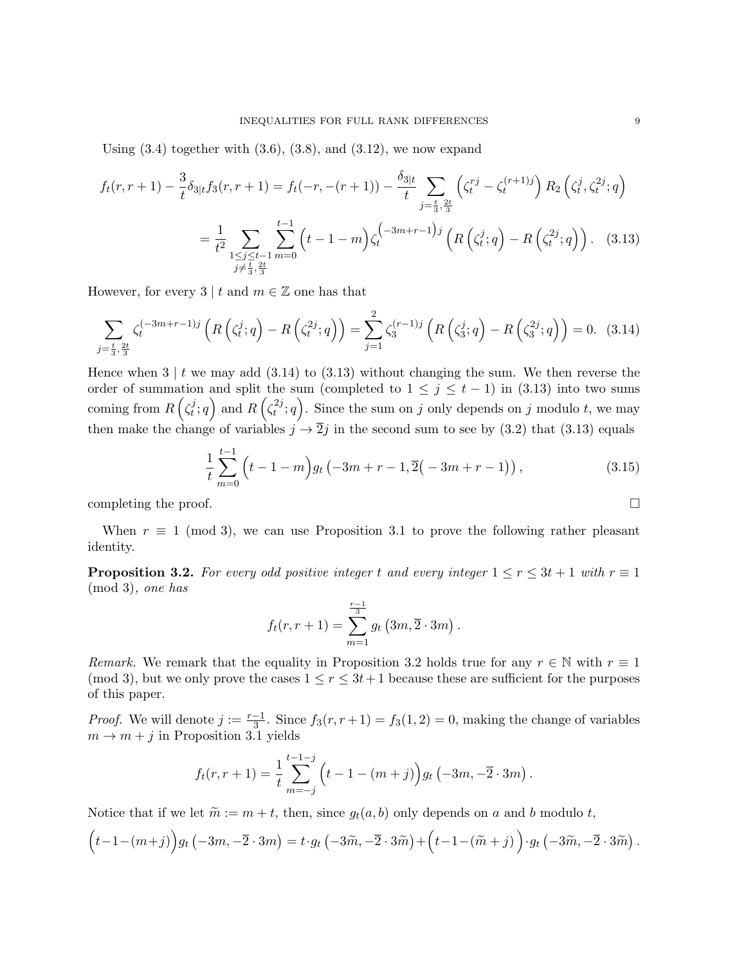Using  $(3.4)$  together with  $(3.6)$ ,  $(3.8)$ , and  $(3.12)$ , we now expand

$$
f_t(r, r+1) - \frac{3}{t} \delta_{3|t} f_3(r, r+1) = f_t(-r, -(r+1)) - \frac{\delta_{3|t}}{t} \sum_{\substack{j=\frac{t}{3}, \frac{2t}{3} \\ j,\frac{2t}{3}}} \left( \zeta_t^{rj} - \zeta_t^{(r+1)j} \right) R_2 \left( \zeta_t^j, \zeta_t^{2j}; q \right)
$$

$$
= \frac{1}{t^2} \sum_{\substack{1 \le j \le t-1 \\ j \ne \frac{t}{3}, \frac{2t}{3}}} \sum_{\substack{m=0 \\ j,\frac{2t}{3}}}^{t-1} \left( t - 1 - m \right) \zeta_t^{\left( -3m+r-1 \right)j} \left( R \left( \zeta_t^j; q \right) - R \left( \zeta_t^{2j}; q \right) \right). \tag{3.13}
$$

However, for every 3 | t and  $m \in \mathbb{Z}$  one has that

$$
\sum_{j=\frac{t}{3},\frac{2t}{3}} \zeta_t^{(-3m+r-1)j} \left( R\left(\zeta_t^j;q\right) - R\left(\zeta_t^{2j};q\right) \right) = \sum_{j=1}^2 \zeta_3^{(r-1)j} \left( R\left(\zeta_3^j;q\right) - R\left(\zeta_3^{2j};q\right) \right) = 0. \tag{3.14}
$$

Hence when  $3 \mid t$  we may add  $(3.14)$  to  $(3.13)$  without changing the sum. We then reverse the order of summation and split the sum (completed to  $1 \leq j \leq t-1$ ) in (3.13) into two sums coming from  $R\left(\zeta_t^j\right)$  $\left( \frac{d}{dt}, q \right)$  and  $R\left( \zeta_t^{2j} \right)$  $t^{2j};q$ . Since the sum on j only depends on j modulo t, we may then make the change of variables  $j \to \overline{2}j$  in the second sum to see by (3.2) that (3.13) equals

$$
\frac{1}{t}\sum_{m=0}^{t-1} \left( t - 1 - m \right) g_t \left( -3m + r - 1, \overline{2} \left( -3m + r - 1 \right) \right),\tag{3.15}
$$

completing the proof.  $\Box$ 

When  $r \equiv 1 \pmod{3}$ , we can use Proposition 3.1 to prove the following rather pleasant identity.

**Proposition 3.2.** For every odd positive integer t and every integer  $1 \le r \le 3t + 1$  with  $r \equiv 1$ (mod 3), one has

$$
f_t(r,r+1) = \sum_{m=1}^{r-1} g_t(3m,\overline{2} \cdot 3m).
$$

Remark. We remark that the equality in Proposition 3.2 holds true for any  $r \in \mathbb{N}$  with  $r \equiv 1$ (mod 3), but we only prove the cases  $1 \le r \le 3t+1$  because these are sufficient for the purposes of this paper.

*Proof.* We will denote  $j := \frac{r-1}{3}$ . Since  $f_3(r, r+1) = f_3(1, 2) = 0$ , making the change of variables  $m \rightarrow m + j$  in Proposition 3.1 yields

$$
f_t(r,r+1) = \frac{1}{t} \sum_{m=-j}^{t-1-j} \left( t - 1 - (m+j) \right) g_t \left( -3m, -\overline{2} \cdot 3m \right).
$$

Notice that if we let  $\widetilde{m} := m + t$ , then, since  $g_t(a, b)$  only depends on a and b modulo t,

$$
(t-1-(m+j))g_t(-3m,-\overline{2}\cdot 3m)=t\cdot g_t(-3\widetilde{m},-\overline{2}\cdot 3\widetilde{m})+\left(t-1-(\widetilde{m}+j)\right)\cdot g_t(-3\widetilde{m},-\overline{2}\cdot 3\widetilde{m}).
$$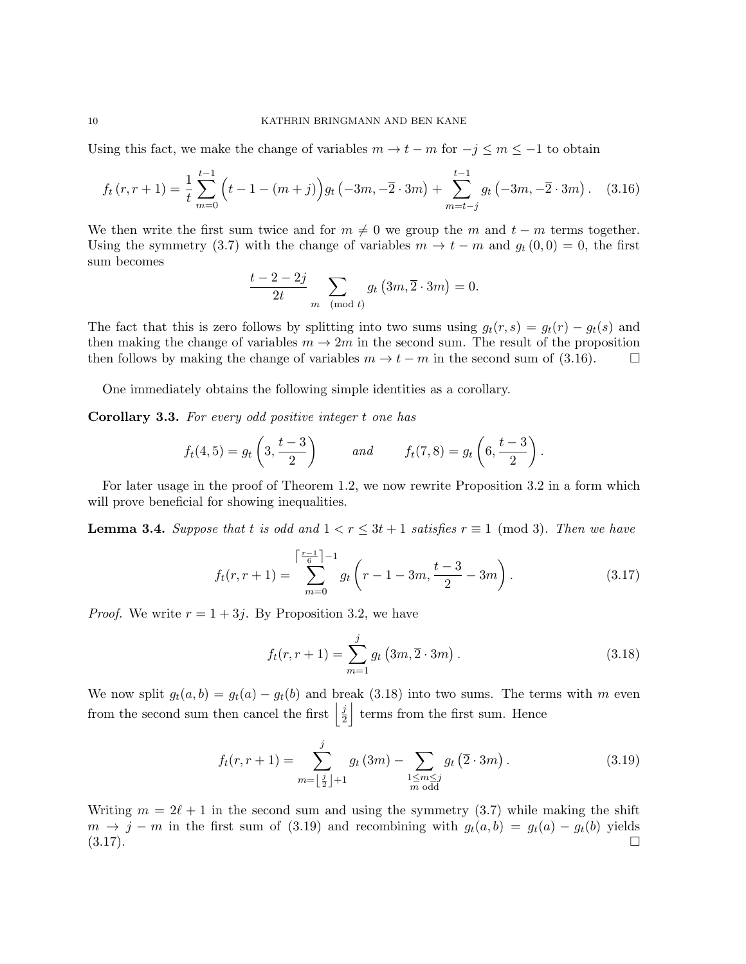Using this fact, we make the change of variables  $m \to t - m$  for  $-j \leq m \leq -1$  to obtain

$$
f_t(r, r+1) = \frac{1}{t} \sum_{m=0}^{t-1} \left( t - 1 - (m+j) \right) g_t \left( -3m, -\overline{2} \cdot 3m \right) + \sum_{m=t-j}^{t-1} g_t \left( -3m, -\overline{2} \cdot 3m \right). \tag{3.16}
$$

We then write the first sum twice and for  $m \neq 0$  we group the m and  $t - m$  terms together. Using the symmetry (3.7) with the change of variables  $m \to t - m$  and  $g_t(0,0) = 0$ , the first sum becomes

$$
\frac{t-2-2j}{2t} \sum_{m \pmod{t}} g_t(3m, \overline{2} \cdot 3m) = 0.
$$

The fact that this is zero follows by splitting into two sums using  $g_t(r, s) = g_t(r) - g_t(s)$  and then making the change of variables  $m \to 2m$  in the second sum. The result of the proposition then follows by making the change of variables  $m \to t - m$  in the second sum of (3.16).

One immediately obtains the following simple identities as a corollary.

Corollary 3.3. For every odd positive integer t one has

$$
f_t(4,5) = g_t\left(3, \frac{t-3}{2}\right)
$$
 and  $f_t(7,8) = g_t\left(6, \frac{t-3}{2}\right)$ .

For later usage in the proof of Theorem 1.2, we now rewrite Proposition 3.2 in a form which will prove beneficial for showing inequalities.

**Lemma 3.4.** Suppose that t is odd and  $1 < r \leq 3t + 1$  satisfies  $r \equiv 1 \pmod{3}$ . Then we have

$$
f_t(r, r+1) = \sum_{m=0}^{\left\lceil \frac{r-1}{6} \right\rceil - 1} g_t \left( r - 1 - 3m, \frac{t-3}{2} - 3m \right).
$$
 (3.17)

*Proof.* We write  $r = 1 + 3j$ . By Proposition 3.2, we have

$$
f_t(r, r+1) = \sum_{m=1}^{j} g_t(3m, \overline{2} \cdot 3m).
$$
 (3.18)

We now split  $g_t(a, b) = g_t(a) - g_t(b)$  and break (3.18) into two sums. The terms with m even from the second sum then cancel the first  $\frac{1}{2}$  $\frac{j}{2}$  terms from the first sum. Hence

$$
f_t(r, r+1) = \sum_{m=\lfloor \frac{j}{2} \rfloor + 1}^{j} g_t(3m) - \sum_{\substack{1 \le m \le j \\ m \text{ odd}}} g_t(\overline{2} \cdot 3m). \tag{3.19}
$$

Writing  $m = 2\ell + 1$  in the second sum and using the symmetry (3.7) while making the shift  $m \to j - m$  in the first sum of (3.19) and recombining with  $g_t(a, b) = g_t(a) - g_t(b)$  yields  $(3.17)$ .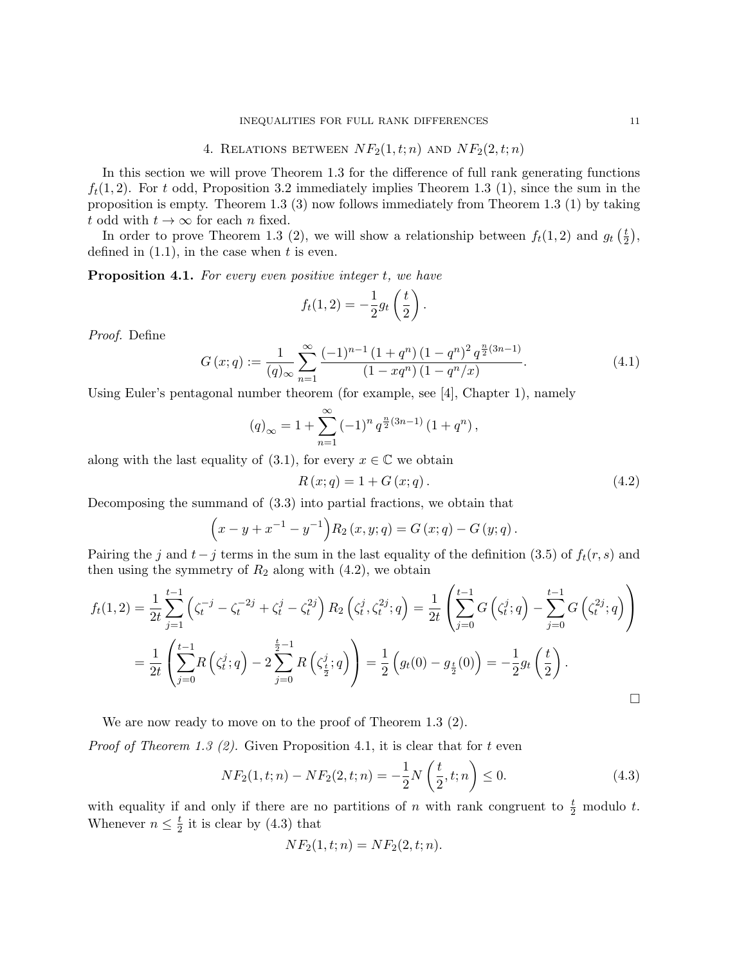## 4. RELATIONS BETWEEN  $NF_2(1, t; n)$  AND  $NF_2(2, t; n)$

In this section we will prove Theorem 1.3 for the difference of full rank generating functions  $f_t(1, 2)$ . For t odd, Proposition 3.2 immediately implies Theorem 1.3 (1), since the sum in the proposition is empty. Theorem 1.3 (3) now follows immediately from Theorem 1.3 (1) by taking t odd with  $t \to \infty$  for each n fixed.

In order to prove Theorem 1.3 (2), we will show a relationship between  $f_t(1, 2)$  and  $g_t\left(\frac{t}{2}\right)$  $\frac{t}{2}$ , defined in  $(1.1)$ , in the case when t is even.

**Proposition 4.1.** For every even positive integer t, we have

$$
f_t(1,2) = -\frac{1}{2}g_t\left(\frac{t}{2}\right).
$$

Proof. Define

$$
G(x;q) := \frac{1}{(q)_{\infty}} \sum_{n=1}^{\infty} \frac{(-1)^{n-1} (1+q^n) (1-q^n)^2 q^{\frac{n}{2}(3n-1)}}{(1-xq^n) (1-q^n/x)}.
$$
(4.1)

Using Euler's pentagonal number theorem (for example, see [4], Chapter 1), namely

$$
(q)_{\infty} = 1 + \sum_{n=1}^{\infty} (-1)^n q^{\frac{n}{2}(3n-1)} (1 + q^n),
$$

along with the last equality of (3.1), for every  $x \in \mathbb{C}$  we obtain

$$
R(x; q) = 1 + G(x; q).
$$
\n(4.2)

Decomposing the summand of (3.3) into partial fractions, we obtain that

$$
(x - y + x-1 - y-1) R2(x, y; q) = G(x; q) - G(y; q).
$$

Pairing the j and  $t-j$  terms in the sum in the last equality of the definition (3.5) of  $f_t(r, s)$  and then using the symmetry of  $R_2$  along with  $(4.2)$ , we obtain

$$
f_t(1,2) = \frac{1}{2t} \sum_{j=1}^{t-1} \left( \zeta_t^{-j} - \zeta_t^{-2j} + \zeta_t^{j} - \zeta_t^{2j} \right) R_2 \left( \zeta_t^{j}, \zeta_t^{2j}; q \right) = \frac{1}{2t} \left( \sum_{j=0}^{t-1} G\left( \zeta_t^{j}; q \right) - \sum_{j=0}^{t-1} G\left( \zeta_t^{2j}; q \right) \right)
$$
  
= 
$$
\frac{1}{2t} \left( \sum_{j=0}^{t-1} R\left( \zeta_t^{j}; q \right) - 2 \sum_{j=0}^{\frac{t}{2}-1} R\left( \zeta_{\frac{t}{2}}^{j}; q \right) \right) = \frac{1}{2} \left( g_t(0) - g_{\frac{t}{2}}(0) \right) = -\frac{1}{2} g_t \left( \frac{t}{2} \right).
$$

We are now ready to move on to the proof of Theorem 1.3 (2).

*Proof of Theorem 1.3 (2).* Given Proposition 4.1, it is clear that for t even

$$
NF_2(1, t; n) - NF_2(2, t; n) = -\frac{1}{2}N\left(\frac{t}{2}, t; n\right) \le 0.
$$
\n(4.3)

with equality if and only if there are no partitions of n with rank congruent to  $\frac{t}{2}$  modulo t. Whenever  $n \leq \frac{t}{2}$  $\frac{t}{2}$  it is clear by (4.3) that

$$
NF_2(1,t;n) = NF_2(2,t;n).
$$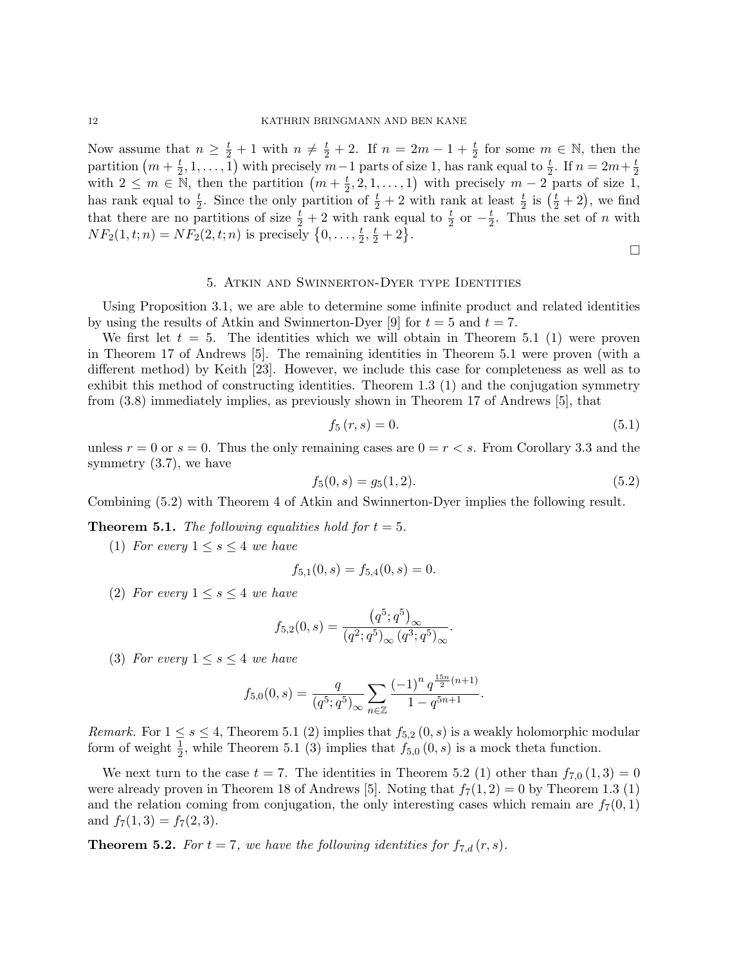Now assume that  $n \geq \frac{t}{2} + 1$  with  $n \neq \frac{t}{2} + 2$ . If  $n = 2m - 1 + \frac{t}{2}$  for some  $m \in \mathbb{N}$ , then the partition  $(m + \frac{t}{2})$  $(\frac{t}{2}, 1, \ldots, 1)$  with precisely  $m-1$  parts of size 1, has rank equal to  $\frac{t}{2}$ . If  $n = 2m + \frac{t}{2}$  $\overline{2}$ with  $2 \leq m \in \mathbb{N}$ , then the partition  $\left(m+\frac{t}{2}\right)$  $(\frac{t}{2}, 2, 1, \ldots, 1)$  with precisely  $m-2$  parts of size 1, has rank equal to  $\frac{t}{2}$ . Since the only partition of  $\frac{t}{2}+2$  with rank at least  $\frac{t}{2}$  is  $(\frac{t}{2}+2)$ , we find that there are no partitions of size  $\frac{t}{2} + 2$  with rank equal to  $\frac{t}{2}$  or  $-\frac{t}{2}$  $\frac{t}{2}$ . Thus the set of *n* with  $NF_2(1, t; n) = NF_2(2, t; n)$  is precisely  $\{0, \ldots, \frac{t}{2}\}$  $\frac{t}{2}, \frac{t}{2} + 2$ .

 $\Box$ 

### 5. Atkin and Swinnerton-Dyer type Identities

Using Proposition 3.1, we are able to determine some infinite product and related identities by using the results of Atkin and Swinnerton-Dyer [9] for  $t = 5$  and  $t = 7$ .

We first let  $t = 5$ . The identities which we will obtain in Theorem 5.1 (1) were proven in Theorem 17 of Andrews [5]. The remaining identities in Theorem 5.1 were proven (with a different method) by Keith [23]. However, we include this case for completeness as well as to exhibit this method of constructing identities. Theorem 1.3 (1) and the conjugation symmetry from (3.8) immediately implies, as previously shown in Theorem 17 of Andrews [5], that

$$
f_5(r,s) = 0.\t\t(5.1)
$$

unless  $r = 0$  or  $s = 0$ . Thus the only remaining cases are  $0 = r < s$ . From Corollary 3.3 and the symmetry (3.7), we have

$$
f_5(0, s) = g_5(1, 2). \tag{5.2}
$$

Combining (5.2) with Theorem 4 of Atkin and Swinnerton-Dyer implies the following result.

**Theorem 5.1.** The following equalities hold for  $t = 5$ .

(1) For every  $1 \leq s \leq 4$  we have

$$
f_{5,1}(0,s) = f_{5,4}(0,s) = 0.
$$

(2) For every  $1 \leq s \leq 4$  we have

$$
f_{5,2}(0,s) = \frac{(q^5;q^5)_{\infty}}{(q^2;q^5)_{\infty} (q^3;q^5)_{\infty}}.
$$

(3) For every  $1 \leq s \leq 4$  we have

$$
f_{5,0}(0,s) = \frac{q}{(q^5;q^5)_{\infty}} \sum_{n \in \mathbb{Z}} \frac{(-1)^n q^{\frac{15n}{2}(n+1)}}{1 - q^{5n+1}}.
$$

*Remark.* For  $1 \leq s \leq 4$ , Theorem 5.1 (2) implies that  $f_{5,2}(0, s)$  is a weakly holomorphic modular form of weight  $\frac{1}{2}$ , while Theorem 5.1 (3) implies that  $f_{5,0}(0,s)$  is a mock theta function.

We next turn to the case  $t = 7$ . The identities in Theorem 5.2 (1) other than  $f_{7,0}(1,3) = 0$ were already proven in Theorem 18 of Andrews [5]. Noting that  $f_7(1, 2) = 0$  by Theorem 1.3 (1) and the relation coming from conjugation, the only interesting cases which remain are  $f_7(0,1)$ and  $f_7(1,3) = f_7(2,3)$ .

**Theorem 5.2.** For  $t = 7$ , we have the following identities for  $f_{7,d}(r, s)$ .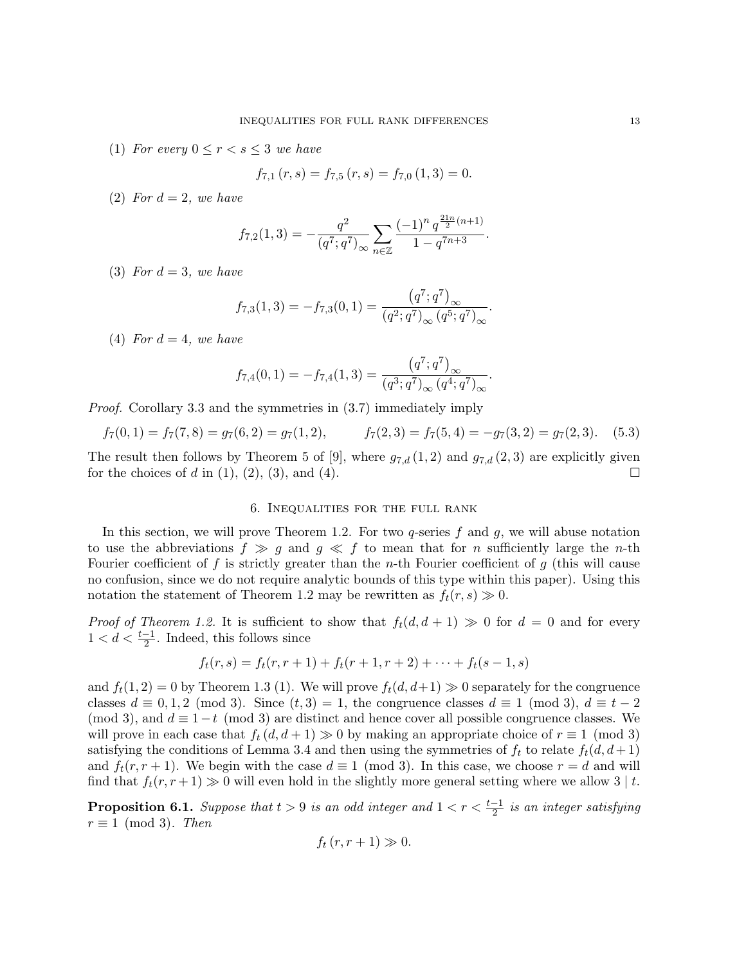(1) For every  $0 \le r < s \le 3$  we have

$$
f_{7,1}(r,s) = f_{7,5}(r,s) = f_{7,0}(1,3) = 0.
$$

(2) For  $d = 2$ , we have

$$
f_{7,2}(1,3) = -\frac{q^2}{(q^7;q^7)_{\infty}} \sum_{n \in \mathbb{Z}} \frac{(-1)^n q^{\frac{21n}{2}(n+1)}}{1 - q^{7n+3}}.
$$

(3) For  $d=3$ , we have

$$
f_{7,3}(1,3) = -f_{7,3}(0,1) = \frac{(q^7;q^7)_{\infty}}{(q^2;q^7)_{\infty} (q^5;q^7)_{\infty}}.
$$

(4) For  $d = 4$ , we have

$$
f_{7,4}(0,1) = -f_{7,4}(1,3) = \frac{(q^7;q^7)_{\infty}}{(q^3;q^7)_{\infty} (q^4;q^7)_{\infty}}.
$$

Proof. Corollary 3.3 and the symmetries in (3.7) immediately imply

$$
f_7(0,1) = f_7(7,8) = g_7(6,2) = g_7(1,2), \qquad f_7(2,3) = f_7(5,4) = -g_7(3,2) = g_7(2,3). \tag{5.3}
$$

The result then follows by Theorem 5 of [9], where  $g_{7,d}(1,2)$  and  $g_{7,d}(2,3)$  are explicitly given for the choices of d in  $(1)$ ,  $(2)$ ,  $(3)$ , and  $(4)$ .

## 6. Inequalities for the full rank

In this section, we will prove Theorem 1.2. For two q-series f and q, we will abuse notation to use the abbreviations  $f \gg g$  and  $g \ll f$  to mean that for n sufficiently large the n-th Fourier coefficient of f is strictly greater than the n-th Fourier coefficient of q (this will cause no confusion, since we do not require analytic bounds of this type within this paper). Using this notation the statement of Theorem 1.2 may be rewritten as  $f_t(r, s) \gg 0$ .

*Proof of Theorem 1.2.* It is sufficient to show that  $f_t(d, d + 1) \gg 0$  for  $d = 0$  and for every  $1 < d < \frac{t-1}{2}$ . Indeed, this follows since

$$
f_t(r,s) = f_t(r,r+1) + f_t(r+1,r+2) + \dots + f_t(s-1,s)
$$

and  $f_t(1, 2) = 0$  by Theorem 1.3 (1). We will prove  $f_t(d, d+1) \gg 0$  separately for the congruence classes  $d \equiv 0, 1, 2 \pmod{3}$ . Since  $(t, 3) = 1$ , the congruence classes  $d \equiv 1 \pmod{3}$ ,  $d \equiv t - 2$ (mod 3), and  $d \equiv 1-t \pmod{3}$  are distinct and hence cover all possible congruence classes. We will prove in each case that  $f_t(d, d + 1) \gg 0$  by making an appropriate choice of  $r \equiv 1 \pmod{3}$ satisfying the conditions of Lemma 3.4 and then using the symmetries of  $f_t$  to relate  $f_t(d, d+1)$ and  $f_t(r, r + 1)$ . We begin with the case  $d \equiv 1 \pmod{3}$ . In this case, we choose  $r = d$  and will find that  $f_t(r, r+1) \gg 0$  will even hold in the slightly more general setting where we allow 3 | t.

**Proposition 6.1.** Suppose that  $t > 9$  is an odd integer and  $1 < r < \frac{t-1}{2}$  is an integer satisfying  $r \equiv 1 \pmod{3}$ . Then

$$
f_t(r, r+1) \gg 0.
$$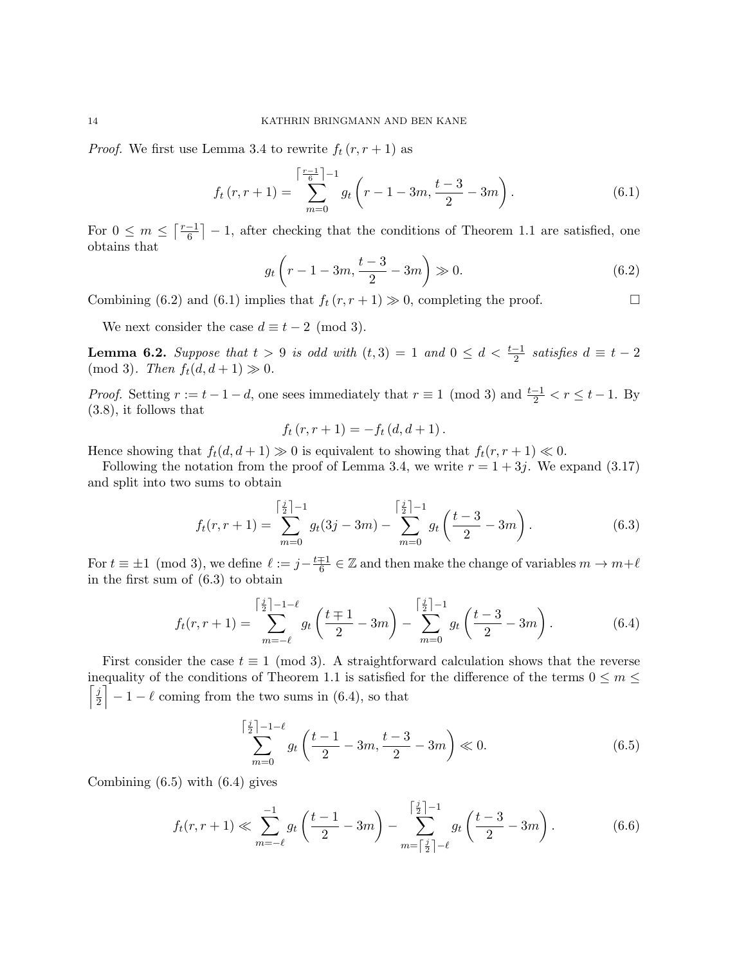*Proof.* We first use Lemma 3.4 to rewrite  $f_t(r, r + 1)$  as

$$
f_t(r, r+1) = \sum_{m=0}^{\left\lceil \frac{r-1}{6} \right\rceil - 1} g_t \left( r - 1 - 3m, \frac{t-3}{2} - 3m \right).
$$
 (6.1)

For  $0 \leq m \leq \lceil \frac{r-1}{6} \rceil$  $\left[\frac{-1}{6}\right] - 1$ , after checking that the conditions of Theorem 1.1 are satisfied, one obtains that

$$
g_t\left(r - 1 - 3m, \frac{t - 3}{2} - 3m\right) \gg 0. \tag{6.2}
$$

Combining (6.2) and (6.1) implies that  $f_t(r, r + 1) \gg 0$ , completing the proof.

We next consider the case  $d \equiv t - 2 \pmod{3}$ .

**Lemma 6.2.** Suppose that  $t > 9$  is odd with  $(t,3) = 1$  and  $0 \le d < \frac{t-1}{2}$  satisfies  $d \equiv t-2$ (mod 3). Then  $f_t(d, d+1) \gg 0$ .

*Proof.* Setting  $r := t - 1 - d$ , one sees immediately that  $r \equiv 1 \pmod{3}$  and  $\frac{t-1}{2} < r \le t-1$ . By (3.8), it follows that

$$
f_t(r, r + 1) = -f_t(d, d + 1).
$$

Hence showing that  $f_t(d, d+1) \gg 0$  is equivalent to showing that  $f_t(r, r+1) \ll 0$ .

Following the notation from the proof of Lemma 3.4, we write  $r = 1 + 3j$ . We expand (3.17) and split into two sums to obtain

$$
f_t(r, r+1) = \sum_{m=0}^{\lceil \frac{j}{2} \rceil - 1} g_t(3j - 3m) - \sum_{m=0}^{\lceil \frac{j}{2} \rceil - 1} g_t\left(\frac{t - 3}{2} - 3m\right).
$$
 (6.3)

For  $t \equiv \pm 1 \pmod{3}$ , we define  $\ell := j - \frac{t \mp 1}{6}$  $\frac{1}{6} \in \mathbb{Z}$  and then make the change of variables  $m \to m+\ell$ in the first sum of (6.3) to obtain

$$
f_t(r,r+1) = \sum_{m=-\ell}^{\lceil \frac{j}{2} \rceil - 1 - \ell} g_t\left(\frac{t+1}{2} - 3m\right) - \sum_{m=0}^{\lceil \frac{j}{2} \rceil - 1} g_t\left(\frac{t-3}{2} - 3m\right). \tag{6.4}
$$

First consider the case  $t \equiv 1 \pmod{3}$ . A straightforward calculation shows that the reverse inequality of the conditions of Theorem 1.1 is satisfied for the difference of the terms  $0 \le m \le$  $\lceil j \rceil$  $\left[\frac{j}{2}\right] - 1 - \ell$  coming from the two sums in (6.4), so that

$$
\sum_{m=0}^{\left\lceil \frac{j}{2} \right\rceil - 1 - \ell} g_t \left( \frac{t - 1}{2} - 3m, \frac{t - 3}{2} - 3m \right) \ll 0. \tag{6.5}
$$

Combining (6.5) with (6.4) gives

$$
f_t(r, r+1) \ll \sum_{m=-\ell}^{-1} g_t\left(\frac{t-1}{2} - 3m\right) - \sum_{m=\lceil \frac{j}{2} \rceil - \ell}^{\lceil \frac{j}{2} \rceil - 1} g_t\left(\frac{t-3}{2} - 3m\right). \tag{6.6}
$$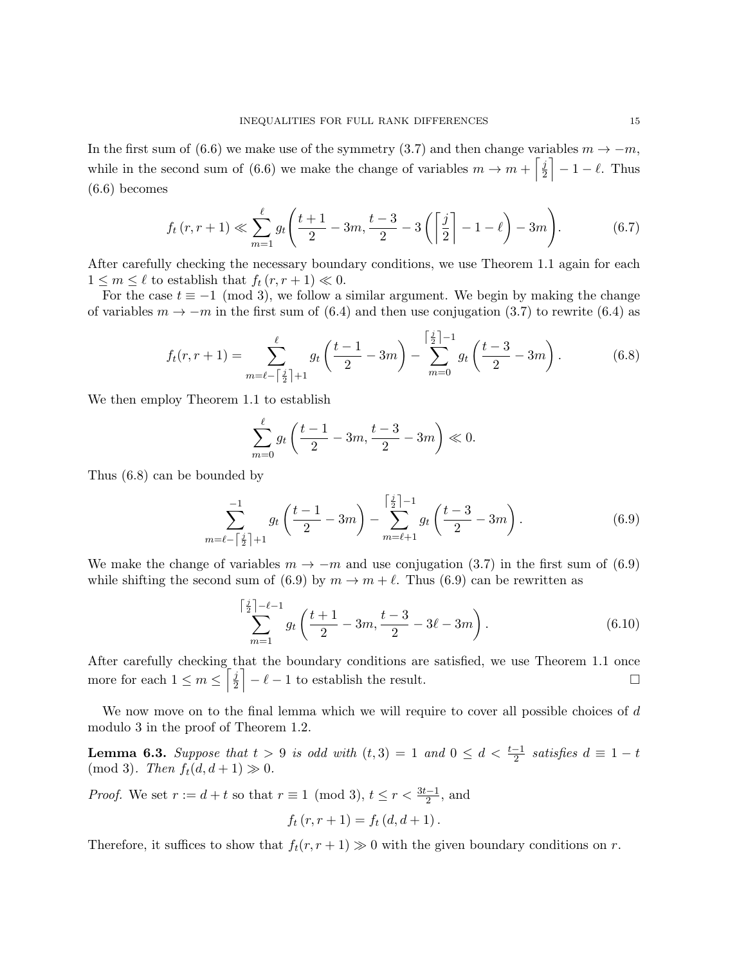In the first sum of (6.6) we make use of the symmetry (3.7) and then change variables  $m \to -m$ , while in the second sum of (6.6) we make the change of variables  $m \to m + \left[\frac{j}{2}\right]$  $\left[\frac{j}{2}\right] - 1 - \ell$ . Thus (6.6) becomes

$$
f_t(r, r+1) \ll \sum_{m=1}^{\ell} g_t \left( \frac{t+1}{2} - 3m, \frac{t-3}{2} - 3\left( \left\lceil \frac{j}{2} \right\rceil - 1 - \ell \right) - 3m \right). \tag{6.7}
$$

After carefully checking the necessary boundary conditions, we use Theorem 1.1 again for each  $1 \leq m \leq \ell$  to establish that  $f_t (r, r + 1) \ll 0$ .

For the case  $t \equiv -1 \pmod{3}$ , we follow a similar argument. We begin by making the change of variables  $m \to -m$  in the first sum of (6.4) and then use conjugation (3.7) to rewrite (6.4) as

$$
f_t(r,r+1) = \sum_{m=\ell-\lceil\frac{j}{2}\rceil+1}^{\ell} g_t\left(\frac{t-1}{2} - 3m\right) - \sum_{m=0}^{\lceil\frac{j}{2}\rceil-1} g_t\left(\frac{t-3}{2} - 3m\right). \tag{6.8}
$$

We then employ Theorem 1.1 to establish

$$
\sum_{m=0}^{\ell} g_t \left( \frac{t-1}{2} - 3m, \frac{t-3}{2} - 3m \right) \ll 0.
$$

Thus (6.8) can be bounded by

$$
\sum_{m=\ell-\lceil\frac{j}{2}\rceil+1}^{-1} g_t\left(\frac{t-1}{2}-3m\right) - \sum_{m=\ell+1}^{\lceil\frac{j}{2}\rceil-1} g_t\left(\frac{t-3}{2}-3m\right). \tag{6.9}
$$

We make the change of variables  $m \to -m$  and use conjugation (3.7) in the first sum of (6.9) while shifting the second sum of (6.9) by  $m \to m + \ell$ . Thus (6.9) can be rewritten as

$$
\sum_{m=1}^{\left\lceil \frac{j}{2} \right\rceil - \ell - 1} g_t \left( \frac{t+1}{2} - 3m, \frac{t-3}{2} - 3\ell - 3m \right). \tag{6.10}
$$

After carefully checking that the boundary conditions are satisfied, we use Theorem 1.1 once more for each  $1 \leq m \leq \lceil \frac{j}{2} \rceil$  $\frac{j}{2}$  –  $\ell$  – 1 to establish the result.

We now move on to the final lemma which we will require to cover all possible choices of d modulo 3 in the proof of Theorem 1.2.

**Lemma 6.3.** Suppose that  $t > 9$  is odd with  $(t,3) = 1$  and  $0 \le d < \frac{t-1}{2}$  satisfies  $d \equiv 1 - t$ (mod 3). Then  $f_t(d, d+1) \gg 0$ .

*Proof.* We set  $r := d + t$  so that  $r \equiv 1 \pmod{3}$ ,  $t \le r < \frac{3t-1}{2}$ , and

$$
f_t(r, r + 1) = f_t(d, d + 1).
$$

Therefore, it suffices to show that  $f_t(r, r + 1) \gg 0$  with the given boundary conditions on r.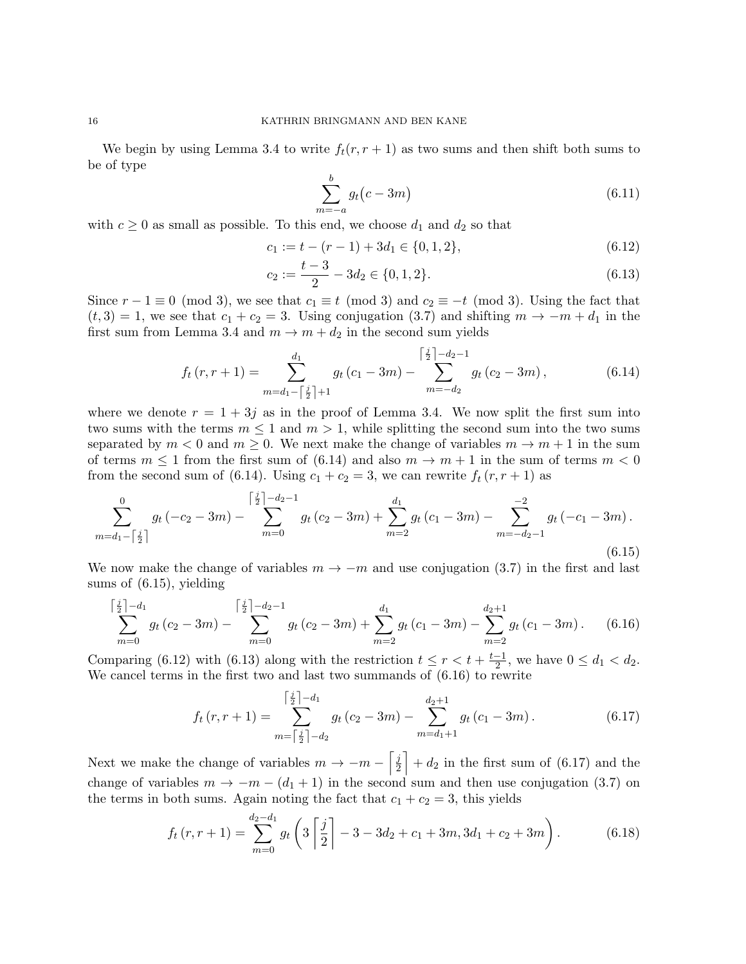We begin by using Lemma 3.4 to write  $f_t(r, r + 1)$  as two sums and then shift both sums to be of type

$$
\sum_{m=-a}^{b} g_t(c-3m) \tag{6.11}
$$

with  $c \geq 0$  as small as possible. To this end, we choose  $d_1$  and  $d_2$  so that

$$
c_1 := t - (r - 1) + 3d_1 \in \{0, 1, 2\},\tag{6.12}
$$

$$
c_2 := \frac{t-3}{2} - 3d_2 \in \{0, 1, 2\}.
$$
\n
$$
(6.13)
$$

Since  $r - 1 \equiv 0 \pmod{3}$ , we see that  $c_1 \equiv t \pmod{3}$  and  $c_2 \equiv -t \pmod{3}$ . Using the fact that  $(t, 3) = 1$ , we see that  $c_1 + c_2 = 3$ . Using conjugation (3.7) and shifting  $m \rightarrow -m + d_1$  in the first sum from Lemma 3.4 and  $m \to m + d_2$  in the second sum yields

$$
f_t(r, r+1) = \sum_{m=d_1 - \lceil \frac{j}{2} \rceil + 1}^{d_1} g_t(c_1 - 3m) - \sum_{m=-d_2}^{\lceil \frac{j}{2} \rceil - d_2 - 1} g_t(c_2 - 3m), \tag{6.14}
$$

where we denote  $r = 1 + 3j$  as in the proof of Lemma 3.4. We now split the first sum into two sums with the terms  $m \leq 1$  and  $m > 1$ , while splitting the second sum into the two sums separated by  $m < 0$  and  $m \ge 0$ . We next make the change of variables  $m \to m + 1$  in the sum of terms  $m \leq 1$  from the first sum of (6.14) and also  $m \to m + 1$  in the sum of terms  $m < 0$ from the second sum of (6.14). Using  $c_1 + c_2 = 3$ , we can rewrite  $f_t(r, r + 1)$  as

$$
\sum_{m=d_1-\lceil\frac{j}{2}\rceil}^{0} g_t(-c_2-3m)-\sum_{m=0}^{\lceil\frac{j}{2}\rceil-d_2-1} g_t(c_2-3m)+\sum_{m=2}^{d_1} g_t(c_1-3m)-\sum_{m=-d_2-1}^{-2} g_t(-c_1-3m).
$$
\n(6.15)

We now make the change of variables  $m \to -m$  and use conjugation (3.7) in the first and last sums of (6.15), yielding

$$
\sum_{m=0}^{\left\lceil \frac{j}{2} \right\rceil - d_1} g_t \left( c_2 - 3m \right) - \sum_{m=0}^{\left\lceil \frac{j}{2} \right\rceil - d_2 - 1} g_t \left( c_2 - 3m \right) + \sum_{m=2}^{d_1} g_t \left( c_1 - 3m \right) - \sum_{m=2}^{d_2+1} g_t \left( c_1 - 3m \right). \tag{6.16}
$$

Comparing (6.12) with (6.13) along with the restriction  $t \leq r < t + \frac{t-1}{2}$  $\frac{-1}{2}$ , we have  $0 \le d_1 < d_2$ . We cancel terms in the first two and last two summands of (6.16) to rewrite

$$
f_t(r, r+1) = \sum_{m=\lceil \frac{j}{2} \rceil - d_1}^{\lceil \frac{j}{2} \rceil - d_1} g_t(c_2 - 3m) - \sum_{m=d_1+1}^{d_2+1} g_t(c_1 - 3m).
$$
 (6.17)

Next we make the change of variables  $m \to -m - \left[\frac{j}{2}\right]$  $\left[\frac{j}{2}\right] + d_2$  in the first sum of (6.17) and the change of variables  $m \to -m - (d_1 + 1)$  in the second sum and then use conjugation (3.7) on the terms in both sums. Again noting the fact that  $c_1 + c_2 = 3$ , this yields

$$
f_t(r, r+1) = \sum_{m=0}^{d_2 - d_1} g_t\left(3\left\lceil \frac{j}{2} \right\rceil - 3 - 3d_2 + c_1 + 3m, 3d_1 + c_2 + 3m\right). \tag{6.18}
$$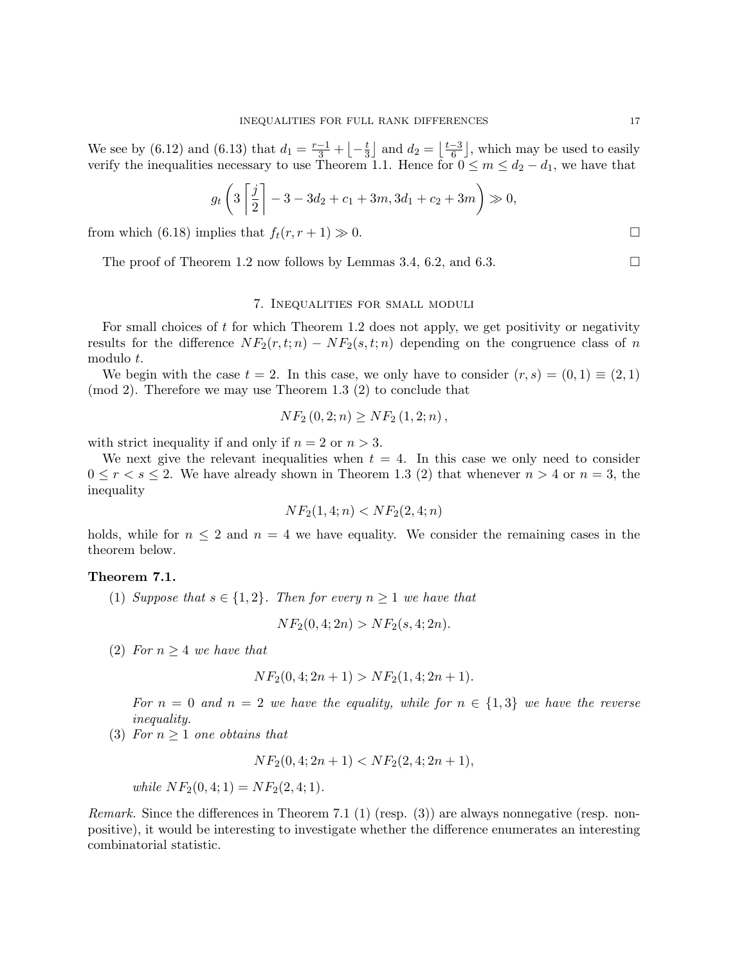We see by (6.12) and (6.13) that  $d_1 = \frac{r-1}{3} + \left[-\frac{t}{3}\right]$  $\frac{t}{3}$  and  $d_2 = \left\lfloor \frac{t-3}{6} \right\rfloor$  $\left[\frac{-3}{6}\right]$ , which may be used to easily verify the inequalities necessary to use Theorem 1.1. Hence for  $0 \le m \le d_2 - d_1$ , we have that

$$
g_t\left(3\left[\frac{j}{2}\right] - 3 - 3d_2 + c_1 + 3m, 3d_1 + c_2 + 3m\right) \gg 0,
$$

from which (6.18) implies that  $f_t(r, r + 1) \gg 0$ .

The proof of Theorem 1.2 now follows by Lemmas 3.4, 6.2, and 6.3.

#### 7. Inequalities for small moduli

For small choices of t for which Theorem 1.2 does not apply, we get positivity or negativity results for the difference  $NF_2(r, t; n) - NF_2(s, t; n)$  depending on the congruence class of n modulo t.

We begin with the case  $t = 2$ . In this case, we only have to consider  $(r, s) = (0, 1) \equiv (2, 1)$ (mod 2). Therefore we may use Theorem 1.3 (2) to conclude that

$$
NF_2(0,2;n) \ge NF_2(1,2;n),
$$

with strict inequality if and only if  $n = 2$  or  $n > 3$ .

We next give the relevant inequalities when  $t = 4$ . In this case we only need to consider  $0 \le r \le s \le 2$ . We have already shown in Theorem 1.3 (2) that whenever  $n > 4$  or  $n = 3$ , the inequality

$$
NF_2(1,4;n) < NF_2(2,4;n)
$$

holds, while for  $n \leq 2$  and  $n = 4$  we have equality. We consider the remaining cases in the theorem below.

## Theorem 7.1.

(1) Suppose that  $s \in \{1,2\}$ . Then for every  $n \geq 1$  we have that

$$
NF_2(0,4;2n) > NF_2(s,4;2n).
$$

(2) For  $n \geq 4$  we have that

$$
NF_2(0,4;2n+1) > NF_2(1,4;2n+1).
$$

For  $n = 0$  and  $n = 2$  we have the equality, while for  $n \in \{1,3\}$  we have the reverse inequality.

(3) For  $n \geq 1$  one obtains that

 $NF_2(0, 4; 2n + 1) < NF_2(2, 4; 2n + 1),$ 

while  $NF_2(0, 4; 1) = NF_2(2, 4; 1).$ 

Remark. Since the differences in Theorem 7.1 (1) (resp. (3)) are always nonnegative (resp. nonpositive), it would be interesting to investigate whether the difference enumerates an interesting combinatorial statistic.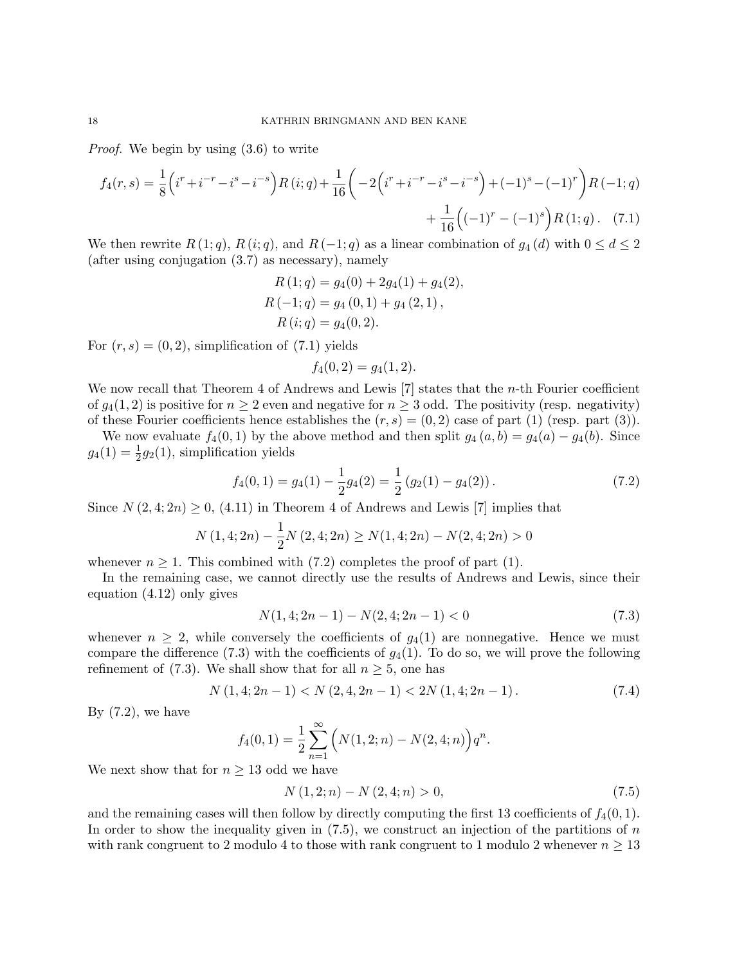Proof. We begin by using (3.6) to write

$$
f_4(r,s) = \frac{1}{8} \left( i^r + i^{-r} - i^s - i^{-s} \right) R(i;q) + \frac{1}{16} \left( -2 \left( i^r + i^{-r} - i^s - i^{-s} \right) + (-1)^s - (-1)^r \right) R(-1;q) + \frac{1}{16} \left( (-1)^r - (-1)^s \right) R(1;q) \tag{7.1}
$$

We then rewrite  $R(1; q)$ ,  $R(i; q)$ , and  $R(-1; q)$  as a linear combination of  $g_4(d)$  with  $0 \le d \le 2$ (after using conjugation (3.7) as necessary), namely

$$
R(1; q) = g_4(0) + 2g_4(1) + g_4(2),
$$
  
\n
$$
R(-1; q) = g_4(0, 1) + g_4(2, 1),
$$
  
\n
$$
R(i; q) = g_4(0, 2).
$$

For  $(r, s) = (0, 2)$ , simplification of  $(7.1)$  yields

$$
f_4(0,2) = g_4(1,2).
$$

We now recall that Theorem 4 of Andrews and Lewis [7] states that the *n*-th Fourier coefficient of  $g_4(1, 2)$  is positive for  $n \geq 2$  even and negative for  $n \geq 3$  odd. The positivity (resp. negativity) of these Fourier coefficients hence establishes the  $(r, s) = (0, 2)$  case of part (1) (resp. part (3)).

We now evaluate  $f_4(0,1)$  by the above method and then split  $g_4(a,b) = g_4(a) - g_4(b)$ . Since  $g_4(1) = \frac{1}{2}g_2(1)$ , simplification yields

$$
f_4(0,1) = g_4(1) - \frac{1}{2}g_4(2) = \frac{1}{2} (g_2(1) - g_4(2)).
$$
\n(7.2)

Since  $N(2, 4; 2n) \geq 0$ , (4.11) in Theorem 4 of Andrews and Lewis [7] implies that

$$
N(1,4;2n) - \frac{1}{2}N(2,4;2n) \ge N(1,4;2n) - N(2,4;2n) > 0
$$

whenever  $n \geq 1$ . This combined with (7.2) completes the proof of part (1).

In the remaining case, we cannot directly use the results of Andrews and Lewis, since their equation (4.12) only gives

$$
N(1,4;2n-1) - N(2,4;2n-1) < 0 \tag{7.3}
$$

whenever  $n \geq 2$ , while conversely the coefficients of  $g_4(1)$  are nonnegative. Hence we must compare the difference  $(7.3)$  with the coefficients of  $g_4(1)$ . To do so, we will prove the following refinement of (7.3). We shall show that for all  $n \geq 5$ , one has

$$
N(1,4;2n-1) < N(2,4,2n-1) < 2N(1,4;2n-1). \tag{7.4}
$$

By  $(7.2)$ , we have

$$
f_4(0,1) = \frac{1}{2} \sum_{n=1}^{\infty} \left( N(1,2;n) - N(2,4;n) \right) q^n.
$$

We next show that for  $n \geq 13$  odd we have

$$
N(1,2;n) - N(2,4;n) > 0,
$$
\n<sup>(7.5)</sup>

and the remaining cases will then follow by directly computing the first 13 coefficients of  $f_4(0,1)$ . In order to show the inequality given in  $(7.5)$ , we construct an injection of the partitions of n with rank congruent to 2 modulo 4 to those with rank congruent to 1 modulo 2 whenever  $n \geq 13$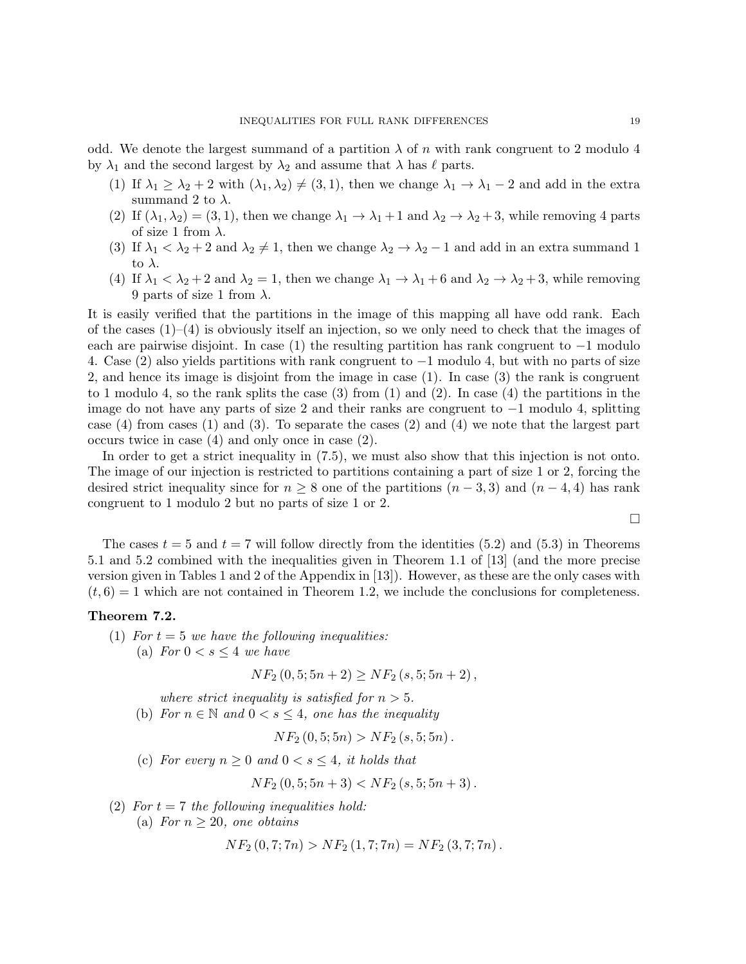odd. We denote the largest summand of a partition  $\lambda$  of n with rank congruent to 2 modulo 4 by  $\lambda_1$  and the second largest by  $\lambda_2$  and assume that  $\lambda$  has  $\ell$  parts.

- (1) If  $\lambda_1 \geq \lambda_2 + 2$  with  $(\lambda_1, \lambda_2) \neq (3, 1)$ , then we change  $\lambda_1 \to \lambda_1 2$  and add in the extra summand 2 to  $\lambda$ .
- (2) If  $(\lambda_1, \lambda_2) = (3, 1)$ , then we change  $\lambda_1 \to \lambda_1 + 1$  and  $\lambda_2 \to \lambda_2 + 3$ , while removing 4 parts of size 1 from  $\lambda$ .
- (3) If  $\lambda_1 < \lambda_2 + 2$  and  $\lambda_2 \neq 1$ , then we change  $\lambda_2 \to \lambda_2 1$  and add in an extra summand 1 to  $\lambda$ .
- (4) If  $\lambda_1 < \lambda_2 + 2$  and  $\lambda_2 = 1$ , then we change  $\lambda_1 \to \lambda_1 + 6$  and  $\lambda_2 \to \lambda_2 + 3$ , while removing 9 parts of size 1 from  $\lambda$ .

It is easily verified that the partitions in the image of this mapping all have odd rank. Each of the cases  $(1)$ – $(4)$  is obviously itself an injection, so we only need to check that the images of each are pairwise disjoint. In case (1) the resulting partition has rank congruent to  $-1$  modulo 4. Case (2) also yields partitions with rank congruent to −1 modulo 4, but with no parts of size 2, and hence its image is disjoint from the image in case (1). In case (3) the rank is congruent to 1 modulo 4, so the rank splits the case  $(3)$  from  $(1)$  and  $(2)$ . In case  $(4)$  the partitions in the image do not have any parts of size 2 and their ranks are congruent to −1 modulo 4, splitting case (4) from cases (1) and (3). To separate the cases (2) and (4) we note that the largest part occurs twice in case (4) and only once in case (2).

In order to get a strict inequality in (7.5), we must also show that this injection is not onto. The image of our injection is restricted to partitions containing a part of size 1 or 2, forcing the desired strict inequality since for  $n \geq 8$  one of the partitions  $(n-3,3)$  and  $(n-4,4)$  has rank congruent to 1 modulo 2 but no parts of size 1 or 2.

 $\Box$ 

The cases  $t = 5$  and  $t = 7$  will follow directly from the identities (5.2) and (5.3) in Theorems 5.1 and 5.2 combined with the inequalities given in Theorem 1.1 of [13] (and the more precise version given in Tables 1 and 2 of the Appendix in [13]). However, as these are the only cases with  $(t, 6) = 1$  which are not contained in Theorem 1.2, we include the conclusions for completeness.

#### Theorem 7.2.

- (1) For  $t = 5$  we have the following inequalities:
	- (a) For  $0 < s \leq 4$  we have

 $NF_2 (0, 5; 5n + 2) > NF_2 (s, 5; 5n + 2),$ 

where strict inequality is satisfied for  $n > 5$ .

(b) For  $n \in \mathbb{N}$  and  $0 < s \leq 4$ , one has the inequality

$$
NF_2(0,5;5n) > NF_2(s,5;5n).
$$

(c) For every  $n \geq 0$  and  $0 < s \leq 4$ , it holds that

$$
NF_2(0,5;5n+3) < NF_2(s,5;5n+3).
$$

(2) For  $t = 7$  the following inequalities hold:

(a) For  $n \geq 20$ , one obtains

$$
NF_2(0,7;7n) > NF_2(1,7;7n) = NF_2(3,7;7n).
$$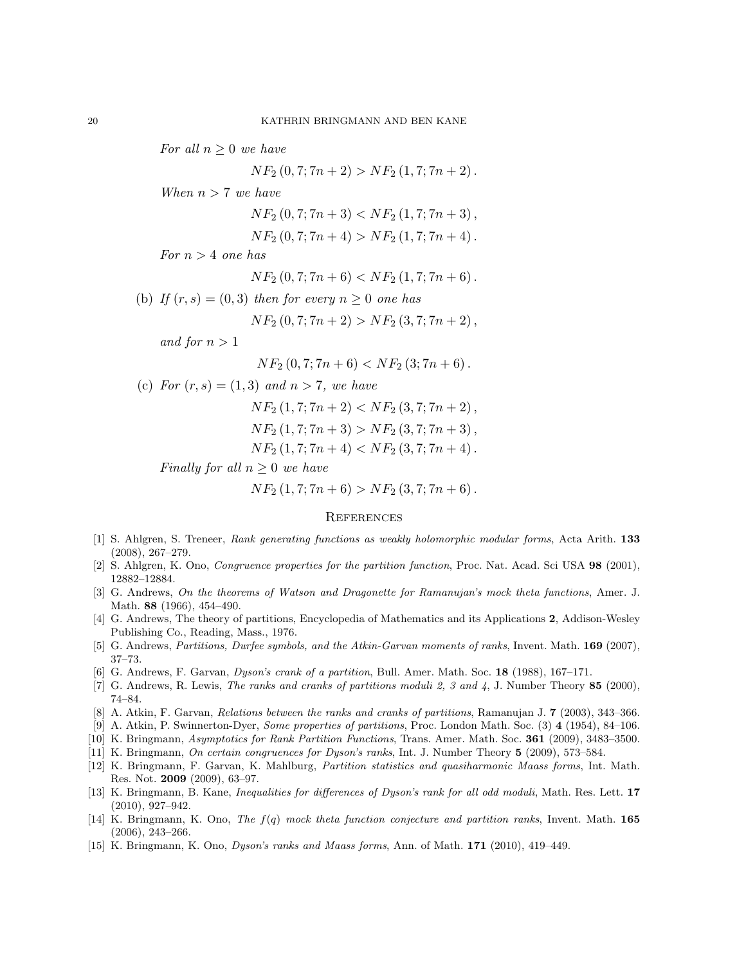For all  $n \geq 0$  we have

$$
NF_2(0,7;7n+2) > NF_2(1,7;7n+2).
$$

When  $n > 7$  we have

$$
NF_2(0,7;7n+3) < NF_2(1,7;7n+3),
$$

$$
NF_2(0,7;7n+4) > NF_2(1,7;7n+4).
$$

For  $n > 4$  one has

$$
NF_2(0,7;7n+6) < NF_2(1,7;7n+6).
$$

(b) If  $(r, s) = (0, 3)$  then for every  $n \geq 0$  one has

$$
NF_2(0,7;7n+2) > NF_2(3,7;7n+2),
$$

and for  $n > 1$ 

 $NF_2 (0, 7; 7n + 6) < NF_2 (3; 7n + 6)$ .

(c) For  $(r, s) = (1, 3)$  and  $n > 7$ , we have

$$
NF_2 (1, 7; 7n + 2) < NF_2 (3, 7; 7n + 2),
$$
\n
$$
NF_2 (1, 7; 7n + 3) > NF_2 (3, 7; 7n + 3),
$$
\n
$$
NF_2 (1, 7; 7n + 4) < NF_2 (3, 7; 7n + 4).
$$

Finally for all  $n \geq 0$  we have

 $NF_2 (1, 7; 7n + 6) > NF_2 (3, 7; 7n + 6).$ 

#### **REFERENCES**

- [1] S. Ahlgren, S. Treneer, Rank generating functions as weakly holomorphic modular forms, Acta Arith. 133 (2008), 267–279.
- [2] S. Ahlgren, K. Ono, Congruence properties for the partition function, Proc. Nat. Acad. Sci USA 98 (2001), 12882–12884.
- [3] G. Andrews, On the theorems of Watson and Dragonette for Ramanujan's mock theta functions, Amer. J. Math. 88 (1966), 454–490.
- [4] G. Andrews, The theory of partitions, Encyclopedia of Mathematics and its Applications 2, Addison-Wesley Publishing Co., Reading, Mass., 1976.
- [5] G. Andrews, Partitions, Durfee symbols, and the Atkin-Garvan moments of ranks, Invent. Math. 169 (2007), 37–73.
- [6] G. Andrews, F. Garvan, Dyson's crank of a partition, Bull. Amer. Math. Soc. 18 (1988), 167–171.
- [7] G. Andrews, R. Lewis, The ranks and cranks of partitions moduli 2, 3 and 4, J. Number Theory 85 (2000), 74–84.
- [8] A. Atkin, F. Garvan, Relations between the ranks and cranks of partitions, Ramanujan J. 7 (2003), 343–366.
- [9] A. Atkin, P. Swinnerton-Dyer, Some properties of partitions, Proc. London Math. Soc. (3) 4 (1954), 84–106.
- [10] K. Bringmann, Asymptotics for Rank Partition Functions, Trans. Amer. Math. Soc. 361 (2009), 3483–3500.
- [11] K. Bringmann, On certain congruences for Dyson's ranks, Int. J. Number Theory 5 (2009), 573–584.
- [12] K. Bringmann, F. Garvan, K. Mahlburg, Partition statistics and quasiharmonic Maass forms, Int. Math. Res. Not. 2009 (2009), 63–97.
- [13] K. Bringmann, B. Kane, Inequalities for differences of Dyson's rank for all odd moduli, Math. Res. Lett. 17 (2010), 927–942.
- [14] K. Bringmann, K. Ono, The f(q) mock theta function conjecture and partition ranks, Invent. Math. 165 (2006), 243–266.
- [15] K. Bringmann, K. Ono, Dyson's ranks and Maass forms, Ann. of Math. 171 (2010), 419–449.